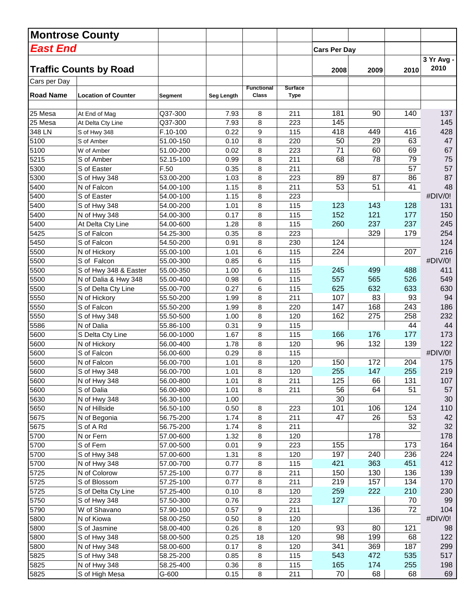|                  | <b>Montrose County</b>        |            |            |                                   |                               |                     |      |                 |                     |
|------------------|-------------------------------|------------|------------|-----------------------------------|-------------------------------|---------------------|------|-----------------|---------------------|
| East End         |                               |            |            |                                   |                               | <b>Cars Per Day</b> |      |                 |                     |
|                  | <b>Traffic Counts by Road</b> |            |            |                                   |                               | 2008                | 2009 | 2010            | $3Yr$ Avg -<br>2010 |
| Cars per Day     |                               |            |            |                                   |                               |                     |      |                 |                     |
| <b>Road Name</b> | <b>Location of Counter</b>    | Segment    | Seg Length | <b>Functional</b><br><b>Class</b> | <b>Surface</b><br><b>Type</b> |                     |      |                 |                     |
| 25 Mesa          | At End of Mag                 | Q37-300    | 7.93       | 8                                 | 211                           | 181                 | 90   | 140             | 137                 |
| 25 Mesa          | At Delta Cty Line             | Q37-300    | 7.93       | 8                                 | 223                           | 145                 |      |                 | 145                 |
| 348 LN           | S of Hwy 348                  | F.10-100   | 0.22       | 9                                 | 115                           | 418                 | 449  | 416             | 428                 |
| 5100             | S of Amber                    | 51.00-150  | 0.10       | 8                                 | 220                           | 50                  | 29   | 63              | 47                  |
| 5100             | W of Amber                    | 51.00-200  | 0.02       | 8                                 | 223                           | 71                  | 60   | 69              | 67                  |
| 5215             | S of Amber                    | 52.15-100  | 0.99       | 8                                 | 211                           | 68                  | 78   | 79              | 75                  |
| 5300             | S of Easter                   | F.50       | 0.35       | 8                                 | 211                           |                     |      | $\overline{57}$ | 57                  |
| 5300             | S of Hwy 348                  | 53.00-200  | 1.03       | 8                                 | 223                           | 89                  | 87   | 86              | 87                  |
| 5400             | N of Falcon                   | 54.00-100  | 1.15       | 8                                 | 211                           | 53                  | 51   | 41              | 48                  |
| 5400             | S of Easter                   | 54.00-100  | 1.15       | 8                                 | 223                           |                     |      |                 | #DIV/0!             |
| 5400             | S of Hwy 348                  | 54.00-200  | 1.01       | 8                                 | 115                           | 123                 | 143  | 128             | 131                 |
| 5400             | N of Hwy 348                  | 54.00-300  | 0.17       | 8                                 | 115                           | 152                 | 121  | 177             | 150                 |
| 5400             | At Delta Cty Line             | 54.00-600  | 1.28       | 8                                 | 115                           | 260                 | 237  | 237             | 245                 |
| 5425             | S of Falcon                   | 54.25-300  | 0.35       | 8                                 | 223                           |                     | 329  | 179             | 254                 |
| 5450             | S of Falcon                   | 54.50-200  | 0.91       | 8                                 | 230                           | 124                 |      |                 | 124                 |
| 5500             | N of Hickory                  | 55.00-100  | 1.01       | 6                                 | 115                           | 224                 |      | 207             | 216                 |
| 5500             | S of Falcon                   | 55.00-300  | 0.85       | 6                                 | 115                           |                     |      |                 | #DIV/0!             |
| 5500             | S of Hwy 348 & Easter         | 55.00-350  | 1.00       | 6                                 | 115                           | 245                 | 499  | 488             | 411                 |
| 5500             | N of Dalia & Hwy 348          | 55.00-400  | 0.98       | 6                                 | 115                           | 557                 | 565  | 526             | 549                 |
| 5500             | S of Delta Cty Line           | 55.00-700  | 0.27       | 6                                 | 115                           | 625                 | 632  | 633             | 630                 |
| 5550             | N of Hickory                  | 55.50-200  | 1.99       | 8                                 | 211                           | 107                 | 83   | 93              | 94                  |
| 5550             | S of Falcon                   | 55.50-200  | 1.99       | 8                                 | 220                           | 147                 | 168  | 243             | 186                 |
| 5550             | S of Hwy 348                  | 55.50-500  | 1.00       | 8                                 | 120                           | 162                 | 275  | 258             | 232                 |
| 5586             | N of Dalia                    | 55.86-100  | 0.31       | 9                                 | 115                           |                     |      | 44              | 44                  |
| 5600             | S Delta Cty Line              | 56.00-1000 | 1.67       | 8                                 | 115                           | 166                 | 176  | 177             | 173                 |
| 5600             | N of Hickory                  | 56.00-400  | 1.78       | 8                                 | 120                           | 96                  | 132  | 139             | 122                 |
| 5600             | S of Falcon                   | 56.00-600  | 0.29       | 8                                 | 115                           |                     |      |                 | #DIV/0!             |
| 5600             | N of Falcon                   | 56.00-700  | 1.01       | 8                                 | 120                           | 150                 | 172  | 204             | 175                 |
| 5600             | S of Hwy 348                  | 56.00-700  | 1.01       | 8                                 | 120                           | 255                 | 147  | 255             | 219                 |
| 5600             | N of Hwy 348                  | 56.00-800  | 1.01       | 8                                 | 211                           | 125                 | 66   | 131             | 107                 |
| 5600             | S of Dalia                    | 56.00-800  | 1.01       | 8                                 | 211                           | 56                  | 64   | 51              | 57                  |
| 5630             | N of Hwy 348                  | 56.30-100  | 1.00       |                                   |                               | 30                  |      |                 | 30                  |
| 5650             | N of Hillside                 | 56.50-100  | 0.50       | 8                                 | 223                           | 101                 | 106  | 124             | 110                 |
| 5675             | N of Begonia                  | 56.75-200  | 1.74       | 8                                 | 211                           | 47                  | 26   | 53              | 42                  |
| 5675             | S of A Rd                     | 56.75-200  | 1.74       | 8                                 | 211                           |                     |      | 32              | 32                  |
| 5700             | N or Fern                     | 57.00-600  | 1.32       | 8                                 | 120                           |                     | 178  |                 | 178                 |
| 5700             | S of Fern                     | 57.00-500  | 0.01       | 9                                 | 223                           | 155                 |      | 173             | 164                 |
| 5700             | S of Hwy 348                  | 57.00-600  | 1.31       | 8                                 | 120                           | 197                 | 240  | 236             | 224                 |
| 5700             | N of Hwy 348                  | 57.00-700  | 0.77       | 8                                 | 115                           | 421                 | 363  | 451             | 412                 |
| 5725             | N of Colorow                  | 57.25-100  | 0.77       | 8                                 | 211                           | 150                 | 130  | 136             | 139                 |
| 5725             | S of Blossom                  | 57.25-100  | 0.77       | 8                                 | 211                           | 219                 | 157  | 134             | 170                 |
| 5725             | S of Delta Cty Line           | 57.25-400  | 0.10       | 8                                 | 120                           | 259                 | 222  | 210             | 230                 |
| 5750             | S of Hwy 348                  | 57.50-300  | 0.76       |                                   | 223                           | 127                 |      | 70              | 99                  |
| 5790             | W of Shavano                  | 57.90-100  | 0.57       | 9                                 | 211                           |                     | 136  | 72              | 104                 |
| 5800             | N of Kiowa                    | 58.00-250  | 0.50       | 8                                 | 120                           |                     |      |                 | #DIV/0!             |
| 5800             | S of Jasmine                  | 58.00-400  | 0.26       | 8                                 | 120                           | 93                  | 80   | 121             | 98                  |
| 5800             | S of Hwy 348                  | 58.00-500  | 0.25       | 18                                | 120                           | 98                  | 199  | 68              | 122                 |
| 5800             | N of Hwy 348                  | 58.00-600  | 0.17       | 8                                 | 120                           | 341                 | 369  | 187             | 299                 |
| 5825             | S of Hwy 348                  | 58.25-200  | 0.85       | 8                                 | 115                           | 543                 | 472  | 535             | 517                 |
| 5825             | N of Hwy 348                  | 58.25-400  | 0.36       | 8                                 | 115                           | 165                 | 174  | 255             | 198                 |
| 5825             | S of High Mesa                | G-600      | 0.15       | 8                                 | 211                           | 70                  | 68   | 68              | 69                  |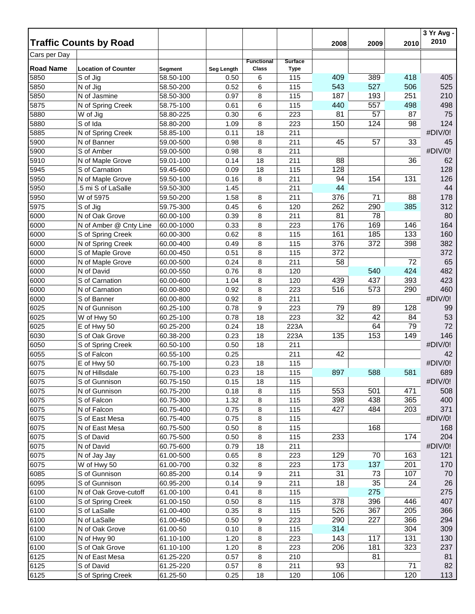|                  | <b>Traffic Counts by Road</b> |                        |            |                   |                |      | 2009 |      | 3 Yr Avg -<br>2010 |
|------------------|-------------------------------|------------------------|------------|-------------------|----------------|------|------|------|--------------------|
|                  |                               |                        |            |                   |                | 2008 |      | 2010 |                    |
| Cars per Day     |                               |                        |            | <b>Functional</b> | <b>Surface</b> |      |      |      |                    |
| <b>Road Name</b> | <b>Location of Counter</b>    | <b>Segment</b>         | Seg Length | Class             | <b>Type</b>    |      |      |      |                    |
| 5850             | S of Jig                      | 58.50-100              | 0.50       | 6                 | 115            | 409  | 389  | 418  | 405                |
| 5850             | N of Jig                      | 58.50-200              | 0.52       | 6                 | 115            | 543  | 527  | 506  | 525                |
| 5850             | N of Jasmine                  | 58.50-300              | 0.97       | 8                 | 115            | 187  | 193  | 251  | 210                |
| 5875             | N of Spring Creek             | 58.75-100              | 0.61       | 6                 | 115            | 440  | 557  | 498  | 498                |
| 5880             | W of Jig                      | 58.80-225              | 0.30       | 6                 | 223            | 81   | 57   | 87   | 75                 |
| 5880             | S of Ida                      | 58.80-200              | 1.09       | 8                 | 223            | 150  | 124  | 98   | 124                |
| 5885             | N of Spring Creek             | 58.85-100              | 0.11       | 18                | 211            |      |      |      | #DIV/0!            |
| 5900             | N of Banner                   | 59.00-500              | 0.98       | 8                 | 211            | 45   | 57   | 33   | 45                 |
| 5900             | S of Amber                    | 59.00-500              | 0.98       | 8                 | 211            |      |      |      | #DIV/0!            |
| 5910             | N of Maple Grove              | 59.01-100              | 0.14       | 18                | 211            | 88   |      | 36   | 62                 |
| 5945             | S of Carnation                | 59.45-600              | 0.09       | 18                | 115            | 128  |      |      | 128                |
| 5950             | N of Maple Grove              | 59.50-100              | 0.16       | 8                 | 211            | 94   | 154  | 131  | 126                |
| 5950             | 5 mi S of LaSalle             | 59.50-300              | 1.45       |                   | 211            | 44   |      |      | 44                 |
| 5950             | W of 5975                     | 59.50-200              | 1.58       | 8                 | 211            | 376  | 71   | 88   | 178                |
| 5975             | S of Jig                      | 59.75-300              | 0.45       | 6                 | 120            | 262  | 290  | 385  | 312                |
| 6000             | N of Oak Grove                | 60.00-100              | 0.39       | 8                 | 211            | 81   | 78   |      | 80                 |
| 6000             | N of Amber @ Cnty Line        | 60.00-1000             | 0.33       | 8                 | 223            | 176  | 169  | 146  | 164                |
| 6000             | S of Spring Creek             | 60.00-300              | 0.62       | 8                 | 115            | 161  | 185  | 133  | 160                |
| 6000             | N of Spring Creek             | 60.00-400              | 0.49       | 8                 | 115            | 376  | 372  | 398  | 382                |
| 6000             | S of Maple Grove              | 60.00-450              | 0.51       | 8                 | 115            | 372  |      |      | 372                |
| 6000             | N of Maple Grove              | 60.00-500              | 0.24       | 8                 | 211            | 58   |      | 72   | 65                 |
| 6000             | N of David                    | 60.00-550              | 0.76       | 8                 | 120            |      | 540  | 424  | 482                |
| 6000             | S of Carnation                | 60.00-600              | 1.04       | 8                 | 120            | 439  | 437  | 393  | 423                |
| 6000             | N of Carnation                | 60.00-800              | 0.92       | 8                 | 223            | 516  | 573  | 290  | 460                |
| 6000             | S of Banner                   | 60.00-800              | 0.92       | 8                 | 211            |      |      |      | #DIV/0!            |
| 6025             | N of Gunnison                 | 60.25-100              | 0.78       | 9                 | 223            | 79   | 89   | 128  | 99                 |
| 6025             | W of Hwy 50                   | 60.25-100              | 0.78       | 18                | 223            | 32   | 42   | 84   | 53                 |
| 6025             | E of Hwy 50                   | 60.25-200              | 0.24       | 18                | 223A           |      | 64   | 79   | 72                 |
| 6030             | S of Oak Grove                | 60.38-200              | 0.23       | 18                | 223A           | 135  | 153  | 149  | 146                |
| 6050             | S of Spring Creek             | 60.50-100              | 0.50       | 18                | 211            |      |      |      | #DIV/0!            |
| 6055             | S of Falcon                   | 60.55-100              | 0.25       |                   | 211            | 42   |      |      | 42                 |
| 6075             | E of Hwy 50                   | 60.75-100              | 0.23       | 18                | 115            |      |      |      | #DIV/0!            |
| 6075             | N of Hillsdale                |                        | 0.23       | 18                |                | 897  | 588  | 581  | 689                |
| 6075             |                               | 60.75-100<br>60.75-150 | 0.15       | 18                | 115            |      |      |      | #DIV/0!            |
| 6075             | S of Gunnison                 | 60.75-200              |            |                   | 115            | 553  | 501  |      | 508                |
|                  | N of Gunnison                 |                        | 0.18       | 8                 | 115            |      |      | 471  |                    |
| 6075             | S of Falcon                   | 60.75-300              | 1.32       | 8                 | 115            | 398  | 438  | 365  | 400                |
| 6075             | N of Falcon                   | 60.75-400              | 0.75       | 8                 | 115            | 427  | 484  | 203  | 371                |
| 6075             | S of East Mesa                | 60.75-400              | 0.75       | 8                 | 115            |      |      |      | #DIV/0!            |
| 6075             | N of East Mesa                | 60.75-500              | 0.50       | 8                 | 115            |      | 168  |      | 168                |
| 6075             | S of David                    | 60.75-500              | 0.50       | 8                 | 115            | 233  |      | 174  | 204                |
| 6075             | N of David                    | 60.75-600              | 0.79       | 18                | 211            |      |      |      | #DIV/0!            |
| 6075             | N of Jay Jay                  | 61.00-500              | 0.65       | 8                 | 223            | 129  | 70   | 163  | 121                |
| 6075             | W of Hwy 50                   | 61.00-700              | 0.32       | 8                 | 223            | 173  | 137  | 201  | 170                |
| 6085             | S of Gunnison                 | 60.85-200              | 0.14       | 9                 | 211            | 31   | 73   | 107  | 70                 |
| 6095             | S of Gunnison                 | 60.95-200              | 0.14       | 9                 | 211            | 18   | 35   | 24   | 26                 |
| 6100             | N of Oak Grove-cutoff         | 61.00-100              | 0.41       | 8                 | 115            |      | 275  |      | 275                |
| 6100             | S of Spring Creek             | 61.00-150              | 0.50       | 8                 | 115            | 378  | 396  | 446  | 407                |
| 6100             | S of LaSalle                  | 61.00-400              | 0.35       | 8                 | 115            | 526  | 367  | 205  | 366                |
| 6100             | N of LaSalle                  | 61.00-450              | 0.50       | 9                 | 223            | 290  | 227  | 366  | 294                |
| 6100             | N of Oak Grove                | 61.00-50               | 0.10       | 8                 | 115            | 314  |      | 304  | 309                |
| 6100             | N of Hwy 90                   | 61.10-100              | 1.20       | 8                 | 223            | 143  | 117  | 131  | 130                |
| 6100             | S of Oak Grove                | 61.10-100              | 1.20       | 8                 | 223            | 206  | 181  | 323  | 237                |
| 6125             | N of East Mesa                | 61.25-220              | 0.57       | 8                 | 210            |      | 81   |      | 81                 |
| 6125             | S of David                    | 61.25-220              | 0.57       | 8                 | 211            | 93   |      | 71   | 82                 |
| 6125             | S of Spring Creek             | 61.25-50               | 0.25       | 18                | 120            | 106  |      | 120  | 113                |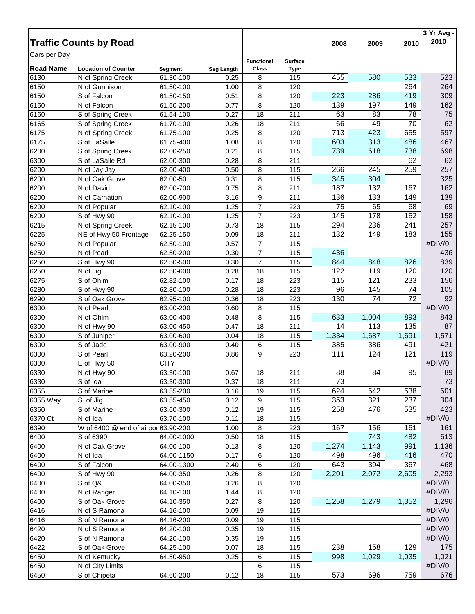|                  |                                     |             |              |                          |                |       |       |       | 3 Yr Avg -<br>2010 |
|------------------|-------------------------------------|-------------|--------------|--------------------------|----------------|-------|-------|-------|--------------------|
|                  | <b>Traffic Counts by Road</b>       |             |              |                          |                | 2008  | 2009  | 2010  |                    |
| Cars per Day     |                                     |             |              | <b>Functional</b>        | <b>Surface</b> |       |       |       |                    |
| <b>Road Name</b> | <b>Location of Counter</b>          | Segment     | Seg Length   | Class                    | <b>Type</b>    |       |       |       |                    |
| 6130             | N of Spring Creek                   | 61.30-100   | 0.25         | 8                        | 115            | 455   | 580   | 533   | 523                |
| 6150             | N of Gunnison                       | 61.50-100   | 1.00         | 8                        | 120            |       |       | 264   | 264                |
| 6150             | S of Falcon                         | 61.50-150   | 0.51         | 8                        | 120            | 223   | 286   | 419   | 309                |
| 6150             | N of Falcon                         | 61.50-200   | 0.77         | 8                        | 120            | 139   | 197   | 149   | 162                |
| 6160             | S of Spring Creek                   | 61.54-100   | 0.27         | 18                       | 211            | 63    | 83    | 78    | 75                 |
| 6165             | S of Spring Creek                   | 61.70-100   | 0.26         | 18                       | 211            | 66    | 49    | 70    | 62                 |
| 6175             | N of Spring Creek                   | 61.75-100   | 0.25         | 8                        | 120            | 713   | 423   | 655   | 597                |
| 6175             | S of LaSalle                        | 61.75-400   | 1.08         | 8                        | 120            | 603   | 313   | 486   | 467                |
| 6200             | S of Spring Creek                   | 62.00-250   | 0.21         | 8                        | 115            | 739   | 618   | 738   | 698                |
| 6300             | S of LaSalle Rd                     | 62.00-300   | 0.28         | 8                        | 211            |       |       | 62    | 62                 |
| 6200             | N of Jay Jay                        | 62.00-400   | 0.50         | 8                        | 115            | 266   | 245   | 259   | 257                |
| 6200             | N of Oak Grove                      | 62.00-50    | 0.31         | 8                        | 115            | 345   | 304   |       | 325                |
| 6200             | N of David                          | 62.00-700   | 0.75         | 8                        | 211            | 187   | 132   | 167   | 162                |
| 6200             | N of Carnation                      | 62.00-900   | 3.16         | 9                        | 211            | 136   | 133   | 149   | 139                |
| 6200             | N of Popular                        | 62.10-100   | 1.25         | $\overline{7}$           | 223            | 75    | 65    | 68    | 69                 |
| 6200             | S of Hwy 90                         | 62.10-100   | 1.25         | $\overline{7}$           | 223            | 145   | 178   | 152   | 158                |
| 6215             | N of Spring Creek                   | 62.15-100   | 0.73         | 18                       | 115            | 294   | 236   | 241   | 257                |
| 6225             | NE of Hwy 50 Frontage               | 62.25-150   | 0.09         | 18                       | 211            | 132   | 149   | 183   | 155                |
| 6250             | N of Popular                        | 62.50-100   | 0.57         | $\boldsymbol{7}$         | 115            |       |       |       | #DIV/0!            |
| 6250             | N of Pearl                          | 62.50-200   | 0.30         | $\overline{\mathcal{I}}$ | 115            | 436   |       |       | 436                |
| 6250             | S of Hwy 90                         | 62.50-500   | 0.30         | $\overline{\mathcal{I}}$ | 115            | 844   | 848   | 826   | 839                |
| 6250             | N of Jig                            | 62.50-600   | 0.28         | 18                       | 115            | 122   | 119   | 120   | 120                |
| 6275             | S of Ohlm                           | 62.82-100   | 0.17         | 18                       | 223            | 115   | 121   | 233   | 156                |
| 6280             | S of Hwy 90                         | 62.80-100   | 0.28         | 18                       | 223            | 96    | 145   | 74    | 105                |
| 6290             | S of Oak Grove                      | 62.95-100   | 0.36         | 18                       | 223            | 130   | 74    | 72    | 92                 |
| 6300             | N of Pearl                          | 63.00-200   | 0.60         | 8                        | 115            |       |       |       | #DIV/0!            |
| 6300             | N of Ohlm                           | 63.00-400   | 0.48         | 8                        | 115            | 633   | 1,004 | 893   | 843                |
| 6300             | N of Hwy 90                         | 63.00-450   | 0.47         | 18                       | 211            | 14    | 113   | 135   | 87                 |
| 6300             | S of Juniper                        | 63.00-600   | 0.04         | 18                       | 115            | 1,334 | 1,687 | 1,691 | 1,571              |
| 6300             | S of Jade                           | 63.00-900   | 0.40         | 6                        | 115            | 385   | 386   | 491   | 421                |
| 6300             | S of Pearl                          | 63.20-200   | 0.86         | 9                        | 223            | 111   | 124   | 121   | 119                |
| 6300             | E of Hwy 50                         | <b>CITY</b> |              |                          |                |       |       |       | #DIV/0!            |
| 6330             | N of Hwy 90                         | 63.30-100   | 0.67         | 18                       | 211            | 88    | 84    | 95    | 89                 |
| 6330             | S of Ida                            | 63.30-300   | 0.37         | 18                       | 211            | 73    |       |       | 73                 |
| 6355             | S of Marine                         | 63.55-200   | 0.16         | 19                       | 115            | 624   | 642   | 538   | 601                |
| 6355 Way         | S of Jig                            | 63.55-450   | 0.12         | 9                        | 115            | 353   | 321   | 237   | 304                |
| 6360             | S of Marine                         | 63.60-300   | 0.12         | 19                       | 115            | 258   | 476   | 535   | 423                |
| 6370 Ct          | N of Ida                            | 63.70-100   | 0.11         | 18                       | 115            |       |       |       | #DIV/0!            |
| 6390             | W of 6400 @ end of airpor 63.90-200 |             | 1.00         | 8                        | 223            | 167   | 156   | 161   | 161                |
| 6400             | S of 6390                           | 64.00-1000  | 0.50         | 18                       | 115            |       | 743   | 482   | 613                |
| 6400             | N of Oak Grove                      | 64.00-100   | 0.13         | 8                        | 120            | 1,274 | 1,143 | 991   | 1,136              |
| 6400             | N of Ida                            | 64.00-1150  | 0.17         | 6                        | 120            | 498   | 496   | 416   | 470                |
| 6400             | S of Falcon                         | 64.00-1300  | 2.40         | 6                        | 120            | 643   | 394   | 367   | 468                |
| 6400             | S of Hwy 90                         | 64.00-350   | 0.26         | 8                        | 120            | 2,201 | 2,072 | 2,605 | 2,293              |
| 6400             | S of Q&T                            | 64.00-350   | 0.26         | 8                        | 120            |       |       |       | #DIV/0!            |
|                  |                                     |             |              |                          |                |       |       |       | #DIV/0!            |
| 6400<br>6400     | N of Ranger                         | 64.10-100   | 1.44<br>0.27 | 8<br>8                   | 120<br>120     | 1,258 | 1,279 | 1,352 | 1,296              |
|                  | S of Oak Grove                      | 64.10-350   |              |                          |                |       |       |       |                    |
| 6416             | N of S Ramona                       | 64.16-100   | 0.09         | 19                       | 115            |       |       |       | #DIV/0!            |
| 6416             | S of N Ramona                       | 64.16-200   | 0.09         | 19                       | 115            |       |       |       | #DIV/0!            |
| 6420             | N of S Ramona                       | 64.20-100   | 0.35         | 19                       | 115            |       |       |       | #DIV/0!            |
| 6420             | S of N Ramona                       | 64.20-100   | 0.35         | 19                       | 115            |       |       |       | #DIV/0!            |
| 6422             | S of Oak Grove                      | 64.25-100   | 0.07         | 18                       | 115            | 238   | 158   | 129   | 175                |
| 6450             | N of Kentucky                       | 64.50-950   | 0.25         | 6                        | 115            | 998   | 1,029 | 1,035 | 1,021              |
| 6450             | N of City Limits                    |             |              | 6                        | 115            |       |       |       | #DIV/0!            |
| 6450             | S of Chipeta                        | 64.60-200   | 0.12         | 18                       | 115            | 573   | 696   | 759   | 676                |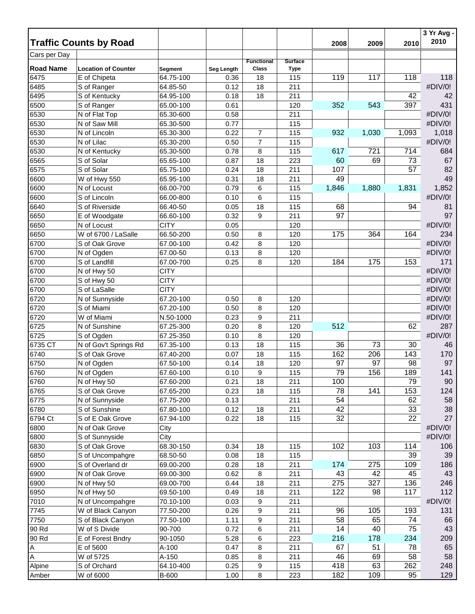|                  |                               |             |                   |                   |                |       |       |                 | 3 Yr Avg -<br>2010 |
|------------------|-------------------------------|-------------|-------------------|-------------------|----------------|-------|-------|-----------------|--------------------|
|                  | <b>Traffic Counts by Road</b> |             |                   |                   |                | 2008  | 2009  | 2010            |                    |
| Cars per Day     |                               |             |                   | <b>Functional</b> | <b>Surface</b> |       |       |                 |                    |
| <b>Road Name</b> | <b>Location of Counter</b>    | Segment     | <b>Seg Length</b> | Class             | <b>Type</b>    |       |       |                 |                    |
| 6475             | E of Chipeta                  | 64.75-100   | 0.36              | 18                | 115            | 119   | 117   | 118             | 118                |
| 6485             | S of Ranger                   | 64.85-50    | 0.12              | 18                | 211            |       |       |                 | #DIV/0!            |
| 6495             | S of Kentucky                 | 64.95-100   | 0.18              | 18                | 211            |       |       | 42              | 42                 |
| 6500             | S of Ranger                   | 65.00-100   | 0.61              |                   | 120            | 352   | 543   | 397             | 431                |
| 6530             | N of Flat Top                 | 65.30-600   | 0.58              |                   | 211            |       |       |                 | #DIV/0!            |
| 6530             | N of Saw Mill                 | 65.30-500   | 0.77              |                   | 115            |       |       |                 | #DIV/0!            |
| 6530             | N of Lincoln                  | 65.30-300   | 0.22              | $\overline{7}$    | 115            | 932   | 1,030 | 1,093           | 1,018              |
| 6530             | N of Lilac                    | 65.30-200   | 0.50              | $\overline{7}$    | 115            |       |       |                 | #DIV/0!            |
| 6530             | N of Kentucky                 | 65.30-500   | 0.78              | 8                 | 115            | 617   | 721   | 714             | 684                |
| 6565             | S of Solar                    | 65.65-100   | 0.87              | 18                | 223            | 60    | 69    | 73              | 67                 |
| 6575             | S of Solar                    | 65.75-100   | 0.24              | 18                | 211            | 107   |       | 57              | 82                 |
| 6600             | W of Hwy 550                  | 65.95-100   | 0.31              | 18                | 211            | 49    |       |                 | 49                 |
| 6600             | N of Locust                   | 66.00-700   | 0.79              | 6                 | 115            | 1,846 | 1,880 | 1,831           | 1,852              |
| 6600             | S of Lincoln                  | 66.00-800   | 0.10              | 6                 | 115            |       |       |                 | #DIV/0!            |
| 6640             | S of Riverside                | 66.40-50    | 0.05              | 18                | 115            | 68    |       | 94              | 81                 |
| 6650             | E of Woodgate                 | 66.60-100   | 0.32              | 9                 | 211            | 97    |       |                 | 97                 |
| 6650             | N of Locust                   | <b>CITY</b> | 0.05              |                   | 120            |       |       |                 | #DIV/0!            |
| 6650             | W of 6700 / LaSalle           | 66.50-200   | 0.50              | 8                 | 120            | 175   | 364   | 164             | 234                |
| 6700             | S of Oak Grove                | 67.00-100   | 0.42              | 8                 | 120            |       |       |                 | #DIV/0!            |
| 6700             | N of Ogden                    | 67.00-50    | 0.13              | 8                 | 120            |       |       |                 | #DIV/0!            |
| 6700             | S of Landfill                 | 67.00-700   | 0.25              | 8                 | 120            | 184   | 175   | 153             | 171                |
| 6700             | N of Hwy 50                   | <b>CITY</b> |                   |                   |                |       |       |                 | #DIV/0!            |
| 6700             | S of Hwy 50                   | <b>CITY</b> |                   |                   |                |       |       |                 | #DIV/0!            |
| 6700             | S of LaSalle                  | <b>CITY</b> |                   |                   |                |       |       |                 | #DIV/0!            |
| 6720             | N of Sunnyside                | 67.20-100   | 0.50              | 8                 | 120            |       |       |                 | #DIV/0!            |
| 6720             | S of Miami                    | 67.20-100   | 0.50              | 8                 | 120            |       |       |                 | #DIV/0!            |
| 6720             | W of Miami                    | N.50-1000   | 0.23              | 9                 | 211            |       |       |                 | #DIV/0!            |
| 6725             | N of Sunshine                 | 67.25-300   | 0.20              | 8                 | 120            | 512   |       | 62              | 287                |
| 6725             | S of Ogden                    | 67.25-350   | 0.10              | 8                 | 120            |       |       |                 | #DIV/0!            |
| 6735 CT          | N of Gov't Springs Rd         | 67.35-100   | 0.13              | 18                | 115            | 36    | 73    | 30              | 46                 |
| 6740             | S of Oak Grove                | 67.40-200   | 0.07              | 18                | 115            | 162   | 206   | 143             | 170                |
| 6750             | N of Ogden                    | 67.50-100   | 0.14              | 18                | 120            | 97    | 97    | 98              | 97                 |
| 6760             | N of Ogden                    | 67.60-100   | 0.10              | $\boldsymbol{9}$  | 115            | 79    | 156   | 189             | 141                |
| 6760             | N of Hwy 50                   | 67.60-200   | 0.21              | 18                | 211            | 100   |       | 79              | 90                 |
| 6765             | S of Oak Grove                | 67.65-200   | 0.23              | 18                | 115            | 78    | 141   | 153             | 124                |
| 6775             | N of Sunnyside                | 67.75-200   | 0.13              |                   | 211            | 54    |       | 62              | 58                 |
| 6780             | S of Sunshine                 | 67.80-100   | 0.12              | 18                | 211            | 42    |       | 33              | 38                 |
| 6794 Ct          | S of E Oak Grove              | 67.94-100   | 0.22              | 18                | 115            | 32    |       | $\overline{22}$ | 27                 |
| 6800             | N of Oak Grove                | City        |                   |                   |                |       |       |                 | #DIV/0!            |
| 6800             | S of Sunnyside                | City        |                   |                   |                |       |       |                 | #DIV/0!            |
| 6830             | S of Oak Grove                | 68.30-150   | 0.34              | 18                | 115            | 102   | 103   | 114             | 106                |
| 6850             | S of Uncompahgre              | 68.50-50    | 0.08              | 18                | 115            |       |       | 39              | 39                 |
| 6900             | S of Overland dr              | 69.00-200   | 0.28              | 18                | 211            | 174   | 275   | 109             | 186                |
| 6900             | N of Oak Grove                | 69.00-300   | 0.62              | 8                 | 211            | 43    | 42    | 45              | 43                 |
| 6900             | N of Hwy 50                   | 69.00-700   | 0.44              | 18                | 211            | 275   | 327   | 136             | 246                |
| 6950             | N of Hwy 50                   | 69.50-100   | 0.49              | 18                | 211            | 122   | 98    | 117             | 112                |
| 7010             | N of Uncompahgre              | 70.10-100   | 0.03              | 9                 | 211            |       |       |                 | #DIV/0!            |
| 7745             | W of Black Canyon             | 77.50-200   | 0.26              | 9                 | 211            | 96    | 105   | 193             | 131                |
| 7750             | S of Black Canyon             | 77.50-100   | 1.11              | 9                 | 211            | 58    | 65    | 74              | 66                 |
| 90 Rd            | W of S Divide                 | 90-700      | 0.72              | 6                 | 211            | 14    | 40    | 75              | 43                 |
| 90 Rd            | E of Forest Bndry             | 90-1050     | 5.28              | 6                 | 223            | 216   | 178   | 234             | 209                |
| A                | E of 5600                     | A-100       | 0.47              | 8                 | 211            | 67    | 51    | 78              | 65                 |
| A                | W of 5725                     | A-150       | 0.85              | 8                 | 211            | 46    | 69    | 58              | 58                 |
| Alpine           | S of Orchard                  | 64.10-400   | 0.25              | $\boldsymbol{9}$  | 115            | 418   | 63    | 262             | 248                |
| Amber            | W of 6000                     | B-600       | 1.00              | 8                 | 223            | 182   | 109   | 95              | 129                |
|                  |                               |             |                   |                   |                |       |       |                 |                    |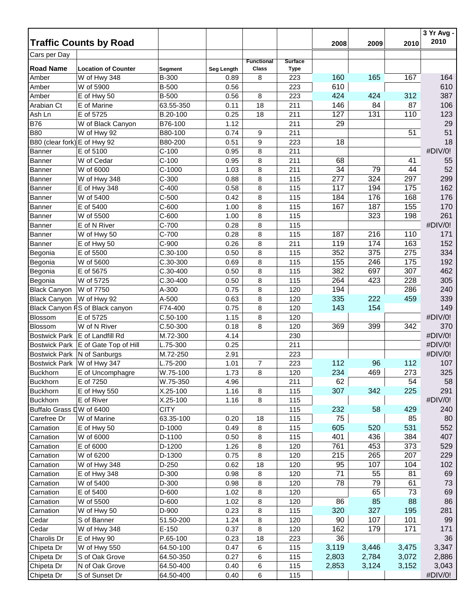|                              | <b>Traffic Counts by Road</b>   |             |            |                            |                               |       |       |       | 3 Yr Avg -<br>2010 |
|------------------------------|---------------------------------|-------------|------------|----------------------------|-------------------------------|-------|-------|-------|--------------------|
| Cars per Day                 |                                 |             |            |                            |                               | 2008  | 2009  | 2010  |                    |
| <b>Road Name</b>             | <b>Location of Counter</b>      | Segment     | Seg Length | <b>Functional</b><br>Class | <b>Surface</b><br><b>Type</b> |       |       |       |                    |
| Amber                        | W of Hwy 348                    | B-300       | 0.89       | 8                          | 223                           | 160   | 165   | 167   | 164                |
| Amber                        | W of 5900                       | B-500       | 0.56       |                            | 223                           | 610   |       |       | 610                |
| Amber                        | E of Hwy 50                     | B-500       | 0.56       | 8                          | 223                           | 424   | 424   | 312   | 387                |
| Arabian Ct                   | E of Marine                     | 63.55-350   | 0.11       | 18                         | 211                           | 146   | 84    | 87    | 106                |
| Ash Ln                       | E of 5725                       | B.20-100    | 0.25       | 18                         | 211                           | 127   | 131   | 110   | 123                |
| <b>B76</b>                   | W of Black Canyon               | B76-100     | 1.12       |                            | 211                           | 29    |       |       | 29                 |
| <b>B80</b>                   | W of Hwy 92                     | B80-100     | 0.74       | 9                          | 211                           |       |       | 51    | 51                 |
| B80 (clear fork) E of Hwy 92 |                                 | B80-200     | 0.51       | 9                          | 223                           | 18    |       |       | 18                 |
| <b>Banner</b>                | E of 5100                       | $C-100$     | 0.95       | 8                          | 211                           |       |       |       | #DIV/0!            |
| <b>Banner</b>                | W of Cedar                      | $C-100$     | 0.95       | 8                          | 211                           | 68    |       | 41    | 55                 |
| <b>Banner</b>                | W of 6000                       | $C-1000$    | 1.03       | 8                          | 211                           | 34    | 79    | 44    | 52                 |
| Banner                       | W of Hwy 348                    | $C-300$     | 0.88       | 8                          | 115                           | 277   | 324   | 297   | 299                |
| <b>Banner</b>                | E of Hwy 348                    | $C-400$     | 0.58       | 8                          | 115                           | 117   | 194   | 175   | 162                |
| Banner                       | W of 5400                       | $C-500$     | 0.42       | 8                          | 115                           | 184   | 176   | 168   | 176                |
| Banner                       | E of 5400                       | $C-600$     | 1.00       | 8                          | 115                           | 167   | 187   | 155   | 170                |
| Banner                       | W of 5500                       | $C-600$     | 1.00       | 8                          | 115                           |       | 323   | 198   | 261                |
| Banner                       | E of N River                    | $C-700$     | 0.28       | 8                          | 115                           |       |       |       | #DIV/0!            |
| Banner                       | W of Hwy 50                     | $C-700$     | 0.28       | 8                          | 115                           | 187   | 216   | 110   | 171                |
| Banner                       | E of Hwy 50                     | $C-900$     | 0.26       | 8                          | 211                           | 119   | 174   | 163   | 152                |
| Begonia                      | E of 5500                       | $C.30-100$  | 0.50       | 8                          | 115                           | 352   | 375   | 275   | 334                |
| Begonia                      | W of 5600                       | C.30-300    | 0.69       | 8                          | 115                           | 155   | 246   | 175   | 192                |
| Begonia                      | E of 5675                       | C.30-400    | 0.50       | 8                          | 115                           | 382   | 697   | 307   | 462                |
| Begonia                      | W of 5725                       | C.30-400    | 0.50       | 8                          | 115                           | 264   | 423   | 228   | 305                |
| <b>Black Canyon</b>          | W of 7750                       | A-300       | 0.75       | 8                          | 120                           | 194   |       | 286   | 240                |
| <b>Black Canyon</b>          | W of Hwy 92                     | A-500       | 0.63       | 8                          | 120                           | 335   | 222   | 459   | 339                |
|                              | Black Canyon FS of Black canyon | F74-400     | 0.75       | 8                          | 120                           | 143   | 154   |       | 149                |
| Blossom                      | E of 5725                       | $C.50-100$  | 1.15       | 8                          | 120                           |       |       |       | #DIV/0!            |
| <b>Blossom</b>               | W of N River                    | $C.50-300$  | 0.18       | 8                          | 120                           | 369   | 399   | 342   | 370                |
| <b>Bostwick Park</b>         | E of Landfill Rd                | M.72-300    | 4.14       |                            | 230                           |       |       |       | #DIV/0!            |
| <b>Bostwick Park</b>         | E of Gate Top of Hill           | L.75-300    | 0.25       |                            | 211                           |       |       |       | #DIV/0!            |
| <b>Bostwick Park</b>         | N of Sanburgs                   | M.72-250    | 2.91       |                            | 223                           |       |       |       | #DIV/0!            |
| <b>Bostwick Park</b>         | W of Hwy 347                    | L.75-200    | 1.01       | $\overline{7}$             | 223                           | 112   | 96    | 112   | 107                |
| <b>Buckhorn</b>              | E of Uncomphagre                | W.75-100    | 1.73       | 8                          | 120                           | 234   | 469   | 273   | 325                |
| <b>Buckhorn</b>              | E of 7250                       | W.75-350    | 4.96       |                            | 211                           | 62    |       | 54    | 58                 |
| <b>Buckhorn</b>              | E of Hwy 550                    | X.25-100    | 1.16       | 8                          | 115                           | 307   | 342   | 225   | 291                |
| <b>Buckhorn</b>              | E of River                      | X.25-100    | 1.16       | 8                          | 115                           |       |       |       | #DIV/0!            |
| Buffalo Grass DW of 6400     |                                 | <b>CITY</b> |            |                            | 115                           | 232   | 58    | 429   | 240                |
| Carefree Dr                  | W of Marine                     | 63.35-100   | 0.20       | 18                         | 115                           | 75    |       | 85    | 80                 |
| Carnation                    | E of Hwy 50                     | D-1000      | 0.49       | 8                          | 115                           | 605   | 520   | 531   | 552                |
| Carnation                    | W of 6000                       | D-1100      | 0.50       | 8                          | 115                           | 401   | 436   | 384   | 407                |
| Carnation                    | E of 6000                       | D-1200      | 1.26       | 8                          | 120                           | 761   | 453   | 373   | 529                |
| Carnation                    | W of 6200                       | D-1300      | 0.75       | 8                          | 120                           | 215   | 265   | 207   | 229                |
| Carnation                    | W of Hwy 348                    | D-250       | 0.62       | 18                         | 120                           | 95    | 107   | 104   | 102                |
| Carnation                    | E of Hwy 348                    | D-300       | 0.98       | 8                          | 120                           | 71    | 55    | 81    | 69                 |
| Carnation                    | W of 5400                       | D-300       | 0.98       | 8                          | 120                           | 78    | 79    | 61    | 73                 |
| Carnation                    | E of 5400                       | D-600       | 1.02       | 8                          | 120                           |       | 65    | 73    | 69                 |
| Carnation                    | W of 5500                       | D-600       | 1.02       | 8                          | 120                           | 86    | 85    | 88    | 86                 |
| Carnation                    | W of Hwy 50                     | D-900       | 0.23       | 8                          | 115                           | 320   | 327   | 195   | 281                |
| Cedar                        | S of Banner                     | 51.50-200   | 1.24       | 8                          | 120                           | 90    | 107   | 101   | 99                 |
| Cedar                        | W of Hwy 348                    | $E-150$     | 0.37       | 8                          | 120                           | 162   | 179   | 171   | 171                |
| Charolis Dr                  | E of Hwy 90                     | P.65-100    | 0.23       | 18                         | 223                           | 36    |       |       | 36                 |
| Chipeta Dr                   | W of Hwy 550                    | 64.50-100   | 0.47       | 6                          | 115                           | 3,119 | 3,446 | 3,475 | 3,347              |
| Chipeta Dr                   | S of Oak Grove                  | 64.50-350   | 0.27       | 6                          | 115                           | 2,803 | 2,784 | 3,072 | 2,886              |
| Chipeta Dr                   | N of Oak Grove                  | 64.50-400   | 0.40       | 6                          | 115                           | 2,853 | 3,124 | 3,152 | 3,043              |
| Chipeta Dr                   | S of Sunset Dr                  | 64.50-400   | 0.40       | 6                          | 115                           |       |       |       | #DIV/0!            |
|                              |                                 |             |            |                            |                               |       |       |       |                    |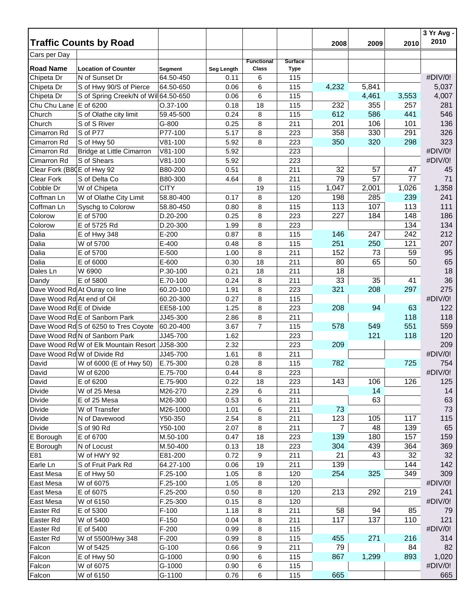|                            |                                       |                |            |                   |                |       |       |       | 3 Yr Avg -<br>2010 |
|----------------------------|---------------------------------------|----------------|------------|-------------------|----------------|-------|-------|-------|--------------------|
|                            | <b>Traffic Counts by Road</b>         |                |            |                   |                | 2008  | 2009  | 2010  |                    |
| Cars per Day               |                                       |                |            | <b>Functional</b> | <b>Surface</b> |       |       |       |                    |
| <b>Road Name</b>           | <b>Location of Counter</b>            | <b>Segment</b> | Seg Length | <b>Class</b>      | <b>Type</b>    |       |       |       |                    |
| Chipeta Dr                 | N of Sunset Dr                        | 64.50-450      | 0.11       | 6                 | 115            |       |       |       | #DIV/0!            |
| Chipeta Dr                 | S of Hwy 90/S of Pierce               | 64.50-650      | 0.06       | 6                 | 115            | 4,232 | 5,841 |       | 5,037              |
| Chipeta Dr                 | S of Spring Creek/N of Wil 64.50-650  |                | 0.06       | 6                 | 115            |       | 4,461 | 3,553 | 4,007              |
| Chu Chu Lane               | E of 6200                             | O.37-100       | 0.18       | 18                | 115            | 232   | 355   | 257   | 281                |
| Church                     | S of Olathe city limit                | 59.45-500      | 0.24       | 8                 | 115            | 612   | 586   | 441   | 546                |
| Church                     | S of S River                          | G-800          | 0.25       | 8                 | 211            | 201   | 106   | 101   | 136                |
| Cimarron Rd                | S of P77                              | P77-100        | 5.17       | 8                 | 223            | 358   | 330   | 291   | 326                |
| Cimarron Rd                | S of Hwy 50                           | V81-100        | 5.92       | 8                 | 223            | 350   | 320   | 298   | 323                |
| Cimarron Rd                | Bridge at Little Cimarron             | V81-100        | 5.92       |                   | 223            |       |       |       | #DIV/0!            |
| Cimarron Rd                | S of Shears                           | V81-100        | 5.92       |                   | 223            |       |       |       | #DIV/0!            |
| Clear Fork (B80E of Hwy 92 |                                       | B80-200        | 0.51       |                   | 211            | 32    | 57    | 47    | 45                 |
| <b>Clear Fork</b>          | S of Delta Co                         | B80-300        | 4.64       | 8                 | 211            | 79    | 57    | 77    | 71                 |
| Cobble Dr                  | W of Chipeta                          | <b>CITY</b>    |            | 19                | 115            | 1,047 | 2,001 | 1,026 | 1,358              |
| Coffman Ln                 | W of Olathe City Limit                | 58.80-400      | 0.17       | 8                 | 120            | 198   | 285   | 239   | 241                |
| Coffman Ln                 | Syschg to Colorow                     | 58.80-450      | 0.80       | 8                 | 115            | 113   | 107   | 113   | 111                |
| Colorow                    | E of 5700                             | D.20-200       | 0.25       | 8                 | 223            | 227   | 184   | 148   | 186                |
| Colorow                    | E of 5725 Rd                          | D.20-300       | 1.99       | 8                 | 223            |       |       | 134   | 134                |
| Dalia                      | E of Hwy 348                          | $E-200$        | 0.87       | 8                 | 115            | 146   | 247   | 242   | 212                |
| Dalia                      | W of 5700                             | $E-400$        | 0.48       | 8                 | 115            | 251   | 250   | 121   | 207                |
| Dalia                      | E of 5700                             | E-500          | 1.00       | 8                 | 211            | 152   | 73    | 59    | 95                 |
| Dalia                      | E of 6000                             | E-600          | 0.30       | 18                | 211            | 80    | 65    | 50    | 65                 |
| Dales Ln                   | W 6900                                | P.30-100       | 0.21       | 18                | 211            | 18    |       |       | 18                 |
| Dandy                      | E of 5800                             | E.70-100       | 0.24       | 8                 | 211            | 33    | 35    | 41    | 36                 |
|                            | Dave Wood Rd At Ouray co line         | 60.20-100      | 1.91       | 8                 | 223            | 321   | 208   | 297   | 275                |
| Dave Wood Rd At end of Oil |                                       | 60.20-300      | 0.27       | 8                 | 115            |       |       |       | #DIV/0!            |
| Dave Wood Rd E of Divide   |                                       | EE58-100       | 1.25       | 8                 | 223            | 208   | 94    | 63    | 122                |
|                            | Dave Wood Rd E of Sanborn Park        | JJ45-300       | 2.86       | 8                 | 211            |       |       | 118   | 118                |
|                            | Dave Wood Rd S of 6250 to Tres Coyote | 60.20-400      | 3.67       | $\overline{7}$    | 115            | 578   | 549   | 551   | 559                |
|                            | Dave Wood Rd N of Sanborn Park        | JJ45-700       | 1.62       |                   | 223            |       | 121   | 118   | 120                |
|                            | Dave Wood Rd W of Elk Mountain Resort | JJ58-300       | 2.32       |                   | 223            | 209   |       |       | 209                |
|                            | Dave Wood Rd W of Divide Rd           | JJ45-700       | 1.61       | 8                 | 211            |       |       |       | #DIV/0!            |
| David                      | W of 6000 (E of Hwy 50)               | E.75-300       | 0.28       | 8                 | 115            | 782   |       | 725   | 754                |
| David                      | W of 6200                             | E.75-700       | 0.44       | 8                 | 223            |       |       |       | #DIV/0!            |
| David                      | E of 6200                             | E.75-900       | 0.22       | 18                | 223            | 143   | 106   | 126   | 125                |
| Divide                     | W of 25 Mesa                          | M26-270        | 2.29       | 6                 | 211            |       | 14    |       | 14                 |
| Divide                     | E of 25 Mesa                          | M26-300        | 0.53       | 6                 | 211            |       | 63    |       | 63                 |
| Divide                     | W of Transfer                         | M26-1000       | 1.01       | 6                 | 211            | 73    |       |       | 73                 |
| Divide                     | N of Davewood                         | Y50-350        | 2.54       | 8                 | 211            | 123   | 105   | 117   | 115                |
| <b>Divide</b>              | S of 90 Rd                            | Y50-100        | 2.07       | 8                 | 211            | 7     | 48    | 139   | 65                 |
| E Borough                  | E of 6700                             | M.50-100       | 0.47       | 18                | 223            | 139   | 180   | 157   | 159                |
| E Borough                  | N of Locust                           | M.50-400       | 0.13       | 18                | 223            | 304   | 439   | 364   | 369                |
| E81                        | W of HWY 92                           | E81-200        | 0.72       | 9                 | 211            | 21    | 43    | 32    | 32                 |
| Earle Ln                   | S of Fruit Park Rd                    | 64.27-100      | 0.06       | 19                | 211            | 139   |       | 144   | 142                |
| East Mesa                  | E of Hwy 50                           | F.25-100       | 1.05       | 8                 | 120            | 254   | 325   | 349   | 309                |
| East Mesa                  | W of 6075                             | F.25-100       | 1.05       | 8                 | 120            |       |       |       | #DIV/0!            |
| East Mesa                  | E of 6075                             | F.25-200       | 0.50       | 8                 | 120            | 213   | 292   | 219   | 241                |
| East Mesa                  | W of 6150                             | F.25-300       | 0.15       | 8                 | 120            |       |       |       | #DIV/0!            |
| Easter Rd                  | E of 5300                             | $F-100$        | 1.18       | 8                 | 211            | 58    | 94    | 85    | 79                 |
| Easter Rd                  | W of 5400                             | $F-150$        | 0.04       | 8                 | 211            | 117   | 137   | 110   | 121                |
| Easter Rd                  | E of 5400                             | $F-200$        | 0.99       | 8                 | 115            |       |       |       | #DIV/0!            |
| Easter Rd                  | W of 5500/Hwy 348                     | $F-200$        | 0.99       | 8                 | 115            | 455   | 271   | 216   | 314                |
| Falcon                     | W of 5425                             | $G-100$        | 0.66       | 9                 | 211            | 79    |       | 84    | 82                 |
| Falcon                     | E of Hwy 50                           | G-1000         | 0.90       | 6                 | 115            | 867   | 1,299 | 893   | 1,020              |
| Falcon                     | W of 6075                             | G-1000         | 0.90       | 6                 | 115            |       |       |       | #DIV/0!            |
| Falcon                     | W of 6150                             | G-1100         | 0.76       | 6                 | 115            | 665   |       |       | 665                |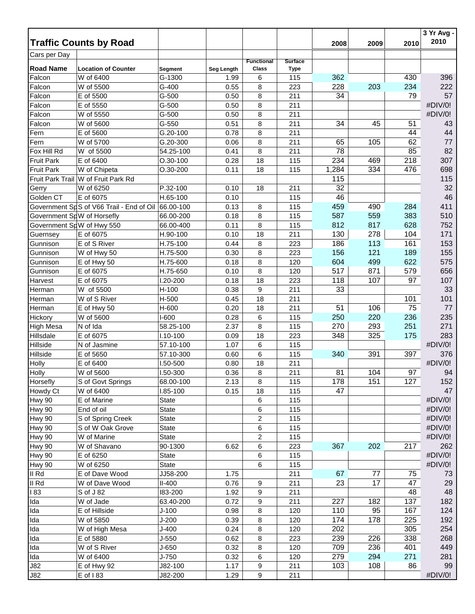|                            | <b>Traffic Counts by Road</b>            |              |                   |                            |                               | 2008  | 2009 | 2010 | 3 Yr Avg -<br>2010 |
|----------------------------|------------------------------------------|--------------|-------------------|----------------------------|-------------------------------|-------|------|------|--------------------|
| Cars per Day               |                                          |              |                   |                            |                               |       |      |      |                    |
| <b>Road Name</b>           | <b>Location of Counter</b>               | Segment      | <b>Seg Length</b> | <b>Functional</b><br>Class | <b>Surface</b><br><b>Type</b> |       |      |      |                    |
| Falcon                     | W of 6400                                | G-1300       | 1.99              | 6                          | 115                           | 362   |      | 430  | 396                |
| Falcon                     | W of 5500                                | G-400        | 0.55              | 8                          | 223                           | 228   | 203  | 234  | 222                |
| Falcon                     | E of 5500                                | $G-500$      | 0.50              | 8                          | 211                           | 34    |      | 79   | 57                 |
| Falcon                     | E of 5550                                | $G-500$      | 0.50              | 8                          | 211                           |       |      |      | #DIV/0!            |
| Falcon                     | W of 5550                                | $G-500$      | 0.50              | 8                          | 211                           |       |      |      | #DIV/0!            |
| Falcon                     | W of 5600                                | $G-550$      | 0.51              | 8                          | 211                           | 34    | 45   | 51   | 43                 |
| Fern                       | E of 5600                                | G.20-100     | 0.78              | 8                          | 211                           |       |      | 44   | 44                 |
| Fern                       | W of 5700                                | G.20-300     | 0.06              | 8                          | 211                           | 65    | 105  | 62   | 77                 |
| Fox Hill Rd                | W of 5500                                | 54.25-100    | 0.41              | 8                          | 211                           | 78    |      | 85   | 82                 |
| <b>Fruit Park</b>          | E of 6400                                | $O.30 - 100$ | 0.28              | 18                         | 115                           | 234   | 469  | 218  | 307                |
| <b>Fruit Park</b>          | W of Chipeta                             | O.30-200     | 0.11              | 18                         | 115                           | 1,284 | 334  | 476  | 698                |
|                            | Fruit Park Trail W of Fruit Park Rd      |              |                   |                            |                               | 115   |      |      | 115                |
| Gerry                      | W of 6250                                | P.32-100     | 0.10              | 18                         | 211                           | 32    |      |      | 32                 |
| Golden CT                  | E of 6075                                | H.65-100     | 0.10              |                            | 115                           | 46    |      |      | 46                 |
|                            | Government SpS of V66 Trail - End of Oil | 66.00-100    | 0.13              | 8                          | 115                           | 459   | 490  | 284  | 411                |
| Government SpW of Horsefly |                                          | 66.00-200    | 0.18              | 8                          | 115                           | 587   | 559  | 383  | 510                |
| Government SpW of Hwy 550  |                                          | 66.00-400    | 0.11              | 8                          | 115                           | 812   | 817  | 628  | 752                |
| Guernsey                   | E of 6075                                | H.90-100     | 0.10              | 18                         | 211                           | 130   | 278  | 104  | 171                |
| Gunnison                   | E of S River                             | H.75-100     | 0.44              | 8                          | 223                           | 186   | 113  | 161  | 153                |
| Gunnison                   | W of Hwy 50                              | H.75-500     | 0.30              | 8                          | 223                           | 156   | 121  | 189  | 155                |
| Gunnison                   | E of Hwy 50                              | H.75-600     | 0.18              | 8                          | 120                           | 604   | 499  | 622  | 575                |
| Gunnison                   | E of 6075                                | H.75-650     | 0.10              | 8                          | 120                           | 517   | 871  | 579  | 656                |
| Harvest                    | E of 6075                                | I.20-200     | 0.18              | 18                         | 223                           | 118   | 107  | 97   | 107                |
| Herman                     | W of 5500                                | H-100        | 0.38              | 9                          | 211                           | 33    |      |      | 33                 |
| Herman                     | W of S River                             | H-500        | 0.45              | 18                         | 211                           |       |      | 101  | 101                |
| Herman                     | E of Hwy 50                              | H-600        | 0.20              | 18                         | 211                           | 51    | 106  | 75   | 77                 |
| Hickory                    | W of 5600                                | I-600        | 0.28              | 6                          | 115                           | 250   | 220  | 236  | 235                |
| <b>High Mesa</b>           | N of Ida                                 | 58.25-100    | 2.37              | 8                          | 115                           | 270   | 293  | 251  | 271                |
| Hillsdale                  | E of 6075                                | $1.10 - 100$ | 0.09              | 18                         | 223                           | 348   | 325  | 175  | 283                |
| Hillside                   | N of Jasmine                             | 57.10-100    | 1.07              | 6                          | 115                           |       |      |      | #DIV/0!            |
| Hillside                   | E of 5650                                | 57.10-300    | 0.60              | 6                          | 115                           | 340   | 391  | 397  | 376                |
| Holly                      | E of 6400                                | 1.50-500     | 0.80              | 18                         | 211                           |       |      |      | #DIV/0!            |
| Holly                      | W of 5600                                | I.50-300     | 0.36              | 8                          | 211                           | 81    | 104  | 97   | 94                 |
| Horsefly                   | S of Govt Springs                        | 68.00-100    | 2.13              | 8                          | 115                           | 178   | 151  | 127  | 152                |
| Howdy Ct                   | W of 6400                                | I.85-100     | 0.15              | 18                         | 115                           | 47    |      |      | 47                 |
| <b>Hwy 90</b>              | E of Marine                              | <b>State</b> |                   | 6                          | 115                           |       |      |      | #DIV/0!            |
| <b>Hwy 90</b>              | End of oil                               | <b>State</b> |                   | 6                          | 115                           |       |      |      | #DIV/0!            |
| <b>Hwy 90</b>              | S of Spring Creek                        | <b>State</b> |                   | $\overline{c}$             | 115                           |       |      |      | #DIV/0!            |
| Hwy 90                     | S of W Oak Grove                         | <b>State</b> |                   | 6                          | 115                           |       |      |      | #DIV/0!            |
| <b>Hwy 90</b>              | W of Marine                              | <b>State</b> |                   | $\overline{c}$             | 115                           |       |      |      | #DIV/0!            |
| Hwy 90                     | W of Shavano                             | 90-1300      | 6.62              | 6                          | 223                           | 367   | 202  | 217  | 262                |
| <b>Hwy 90</b>              | E of 6250                                | <b>State</b> |                   | 6                          | 115                           |       |      |      | #DIV/0!            |
| Hwy 90                     | W of 6250                                | <b>State</b> |                   | 6                          | 115                           |       |      |      | #DIV/0!            |
| II Rd                      | E of Dave Wood                           | JJ58-200     | 1.75              |                            | 211                           | 67    | 77   | 75   | 73                 |
| II Rd                      | W of Dave Wood                           | $II-400$     | 0.76              | 9                          | 211                           | 23    | 17   | 47   | 29                 |
| 183                        | S of J 82                                | 183-200      | 1.92              | 9                          | 211                           |       |      | 48   | 48                 |
| Ida                        | W of Jade                                | 63.40-200    | 0.72              | 9                          | 211                           | 227   | 182  | 137  | 182                |
| Ida                        | E of Hillside                            | $J-100$      | 0.98              | 8                          | 120                           | 110   | 95   | 167  | 124                |
| Ida                        | W of 5850                                | $J-200$      | 0.39              | 8                          | 120                           | 174   | 178  | 225  | 192                |
| Ida                        | W of High Mesa                           | $J-400$      | 0.24              | 8                          | 120                           | 202   |      | 305  | 254                |
| Ida                        | E of 5880                                | $J-550$      | 0.62              | 8                          | 223                           | 239   | 226  | 338  | 268                |
| Ida                        | W of S River                             | J-650        | 0.32              | 8                          | 120                           | 709   | 236  | 401  | 449                |
| Ida                        | W of 6400                                | $J-750$      | 0.32              | 6                          | 120                           | 279   | 294  | 271  | 281                |
| <b>J82</b>                 | E of Hwy 92                              | J82-100      | 1.17              | 9                          | 211                           | 103   | 108  | 86   | 99                 |
| J82                        | E of 183                                 | J82-200      | 1.29              | 9                          | 211                           |       |      |      | #DIV/0!            |
|                            |                                          |              |                   |                            |                               |       |      |      |                    |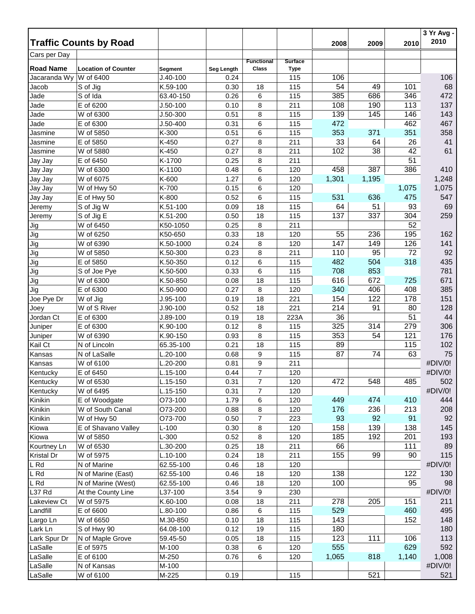|                  | <b>Traffic Counts by Road</b>           |                       |            |                   |                    | 2008       | 2009     | 2010       | 3 Yr Avg -<br>2010 |
|------------------|-----------------------------------------|-----------------------|------------|-------------------|--------------------|------------|----------|------------|--------------------|
| Cars per Day     |                                         |                       |            |                   |                    |            |          |            |                    |
|                  |                                         |                       |            | <b>Functional</b> | <b>Surface</b>     |            |          |            |                    |
| <b>Road Name</b> | <b>Location of Counter</b><br>W of 6400 | Segment<br>$J.40-100$ | Seg Length | <b>Class</b>      | <b>Type</b><br>115 | 106        |          |            | 106                |
| Jacaranda Wy     |                                         |                       | 0.24       |                   |                    | 54         | 49       | 101        | 68                 |
| Jacob            | S of Jig                                | K.59-100              | 0.30       | 18                | 115                | 385        | 686      | 346        | 472                |
| Jade             | S of Ida                                | 63.40-150             | 0.26       | 6                 | 115                |            |          |            | 137                |
| Jade             | E of 6200                               | $J.50-100$            | 0.10       | 8                 | 211                | 108<br>139 | 190      | 113        |                    |
| Jade<br>Jade     | W of 6300                               | $J.50 - 300$          | 0.51       | 8                 | 115                | 472        | 145      | 146<br>462 | 143<br>467         |
|                  | E of 6300                               | $J.50-400$            | 0.31       | 6                 | 115                |            |          |            |                    |
| Jasmine          | W of 5850                               | K-300                 | 0.51       | 6                 | 115                | 353        | 371      | 351        | 358                |
| Jasmine          | E of 5850                               | K-450<br>K-450        | 0.27       | 8                 | 211                | 33<br>102  | 64<br>38 | 26<br>42   | 41<br>61           |
| Jasmine          | W of 5880                               |                       | 0.27       | 8                 | 211                |            |          |            |                    |
| Jay Jay          | E of 6450                               | K-1700                | 0.25       | 8                 | 211                |            |          | 51         |                    |
| Jay Jay          | W of 6300                               | K-1100                | 0.48       | 6                 | 120                | 458        | 387      | 386        | 410                |
| Jay Jay          | W of 6075                               | K-600<br>K-700        | 1.27       | 6                 | 120                | 1,301      | 1,195    |            | 1,248              |
| Jay Jay          | W of Hwy 50                             |                       | 0.15       | 6                 | 120                |            |          | 1,075      | 1,075              |
| Jay Jay          | E of Hwy 50                             | K-800                 | 0.52       | 6                 | 115                | 531        | 636      | 475        | 547                |
| Jeremy           | S of Jig W                              | K.51-100              | 0.09       | 18                | 115                | 64         | 51       | 93         | 69                 |
| Jeremy           | S of Jig E                              | K.51-200              | 0.50       | 18                | 115                | 137        | 337      | 304        | 259                |
| Jig              | W of 6450                               | K50-1050              | 0.25       | 8                 | 211                |            |          | 52         |                    |
| Jig              | W of 6250                               | K50-650               | 0.33       | 18                | 120                | 55         | 236      | 195        | 162                |
| Jig              | W of 6390                               | K.50-1000             | 0.24       | 8                 | 120                | 147        | 149      | 126        | 141                |
| Jig              | W of 5850                               | K.50-300              | 0.23       | 8                 | 211                | 110        | 95       | 72         | 92                 |
| Jig              | E of 5850                               | K.50-350              | 0.12       | 6                 | 115                | 482        | 504      | 318        | 435                |
| Jig              | S of Joe Pye                            | K.50-500              | 0.33       | 6                 | 115                | 708        | 853      |            | 781                |
| Jig              | W of 6300                               | K.50-850              | 0.08       | 18                | 115                | 616        | 672      | 725        | 671                |
| Jig              | E of 6300                               | K.50-900              | 0.27       | 8                 | 120                | 340        | 406      | 408        | 385                |
| Joe Pye Dr       | W of Jig                                | $J.95-100$            | 0.19       | 18                | 221                | 154        | 122      | 178        | 151                |
| Joey             | W of S River                            | $J.90-100$            | 0.52       | 18                | 221                | 214        | 91       | 80         | 128                |
| Jordan Ct        | E of 6300                               | J.89-100              | 0.19       | 18                | 223A               | 36         |          | 51         | 44                 |
| Juniper          | E of 6300                               | K.90-100              | 0.12       | 8                 | 115                | 325        | 314      | 279        | 306                |
| Juniper          | W of 6390                               | K.90-150              | 0.93       | 8                 | 115                | 353        | 54       | 121        | 176                |
| Kail Ct          | N of Lincoln                            | 65.35-100             | 0.21       | 18                | 115                | 89         |          | 115        | 102                |
| Kansas           | N of LaSalle                            | $L.20 - 100$          | 0.68       | 9                 | 115                | 87         | 74       | 63         | 75                 |
| Kansas           | W of 6100                               | L.20-200              | 0.81       | 9                 | 211                |            |          |            | #DIV/0!            |
| Kentucky         | E of 6450                               | L.15-100              | 0.44       | $\overline{7}$    | 120                |            |          |            | #DIV/0!            |
| Kentucky         | W of 6530                               | L.15-150              | 0.31       | $\overline{7}$    | 120                | 472        | 548      | 485        | 502                |
| Kentucky         | W of 6495                               | L.15-150              | 0.31       | $\overline{7}$    | 120                |            |          |            | #DIV/0!            |
| Kinikin          | E of Woodgate                           | O73-100               | 1.79       | 6                 | 120                | 449        | 474      | 410        | 444                |
| Kinikin          | W of South Canal                        | O73-200               | 0.88       | 8                 | 120                | 176        | 236      | 213        | 208                |
| Kinikin          | W of Hwy 50                             | O73-700               | 0.50       | $\overline{7}$    | 223                | 93         | 92       | 91         | 92                 |
| Kiowa            | E of Shavano Valley                     | $L-100$               | 0.30       | 8                 | 120                | 158        | 139      | 138        | 145                |
| Kiowa            | W of 5850                               | $L-300$               | 0.52       | 8                 | 120                | 185        | 192      | 201        | 193                |
| Kourtney Ln      | W of 6530                               | L.30-200              | 0.25       | 18                | 211                | 66         |          | 111        | 89                 |
| Kristal Dr       | W of 5975                               | $L.10-100$            | 0.24       | 18                | 211                | 155        | 99       | 90         | 115                |
| L Rd             | N of Marine                             | 62.55-100             | 0.46       | 18                | 120                |            |          |            | #DIV/0!            |
| L Rd             | N of Marine (East)                      | 62.55-100             | 0.46       | 18                | 120                | 138        |          | 122        | 130                |
| L Rd             | N of Marine (West)                      | 62.55-100             | 0.46       | 18                | 120                | 100        |          | 95         | 98                 |
| L37 Rd           | At the County Line                      | L37-100               | 3.54       | 9                 | 230                |            |          |            | #DIV/0!            |
| Lakeview Ct      | W of 5975                               | K.60-100              | 0.08       | 18                | 211                | 278        | 205      | 151        | 211                |
| Landfill         | E of 6600                               | L.80-100              | 0.86       | 6                 | 115                | 529        |          | 460        | 495                |
| Largo Ln         | W of 6650                               | M.30-850              | 0.10       | 18                | 115                | 143        |          | 152        | 148                |
| Lark Ln          | S of Hwy 90                             | 64.08-100             | 0.12       | 19                | 115                | 180        |          |            | 180                |
| Lark Spur Dr     | N of Maple Grove                        | 59.45-50              | 0.05       | 18                | 115                | 123        | 111      | 106        | 113                |
| LaSalle          | E of 5975                               | M-100                 | 0.38       | 6                 | 120                | 555        |          | 629        | 592                |
| LaSalle          | E of 6100                               | M-250                 | 0.76       | 6                 | 120                | 1,065      | 818      | 1,140      | 1,008              |
| LaSalle          | N of Kansas                             | M-100                 |            |                   |                    |            |          |            | #DIV/0!            |
| LaSalle          | W of 6100                               | M-225                 | 0.19       |                   | 115                |            | 521      |            | 521                |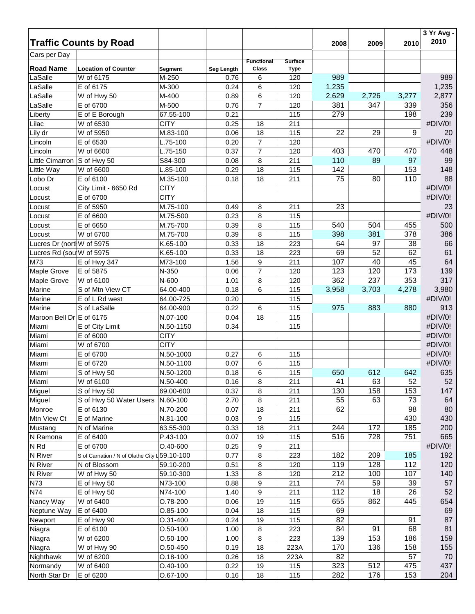|                           |                                               |                |            |                   |                |                  |       |       | 3 Yr Avg -<br>2010 |
|---------------------------|-----------------------------------------------|----------------|------------|-------------------|----------------|------------------|-------|-------|--------------------|
| Cars per Day              | <b>Traffic Counts by Road</b>                 |                |            |                   |                | 2008             | 2009  | 2010  |                    |
|                           |                                               |                |            | <b>Functional</b> | <b>Surface</b> |                  |       |       |                    |
| <b>Road Name</b>          | <b>Location of Counter</b>                    | <b>Segment</b> | Seg Length | Class             | <b>Type</b>    |                  |       |       |                    |
| LaSalle                   | W of 6175                                     | M-250          | 0.76       | 6                 | 120            | 989              |       |       | 989                |
| LaSalle                   | E of 6175                                     | M-300          | 0.24       | 6                 | 120            | 1,235            |       |       | 1,235              |
| LaSalle                   | W of Hwy 50                                   | M-400          | 0.89       | 6                 | 120            | 2,629            | 2,726 | 3,277 | 2,877              |
| LaSalle                   | E of 6700                                     | M-500          | 0.76       | $\overline{7}$    | 120            | 381              | 347   | 339   | 356                |
| Liberty                   | E of E Borough                                | 67.55-100      | 0.21       |                   | 115            | 279              |       | 198   | 239                |
| Lilac                     | W of 6530                                     | <b>CITY</b>    | 0.25       | 18                | 211            |                  |       |       | #DIV/0!            |
| Lily dr                   | W of 5950                                     | M.83-100       | 0.06       | 18                | 115            | 22               | 29    | 9     | 20                 |
| Lincoln                   | E of 6530                                     | L.75-100       | 0.20       | $\overline{7}$    | 120            |                  |       |       | #DIV/0!            |
| Lincoln                   | W of 6600                                     | $L.75-150$     | 0.37       | $\overline{7}$    | 120            | 403              | 470   | 470   | 448                |
| Little Cimarron           | S of Hwy 50                                   | S84-300        | 0.08       | 8                 | 211            | 110              | 89    | 97    | 99                 |
| Little Way                | W of 6600                                     | $L.85-100$     | 0.29       | 18                | 115            | 142              |       | 153   | 148                |
| Lobo Dr                   | E of 6100                                     | M.35-100       | 0.18       | 18                | 211            | 75               | 80    | 110   | 88                 |
| Locust                    | City Limit - 6650 Rd                          | <b>CITY</b>    |            |                   |                |                  |       |       | #DIV/0!            |
| Locust                    | E of 6700                                     | <b>CITY</b>    |            |                   |                |                  |       |       | #DIV/0!            |
| Locust                    | E of 5950                                     | M.75-100       | 0.49       | 8                 | 211            | 23               |       |       | 23                 |
| Locust                    | E of 6600                                     | M.75-500       | 0.23       | 8                 | 115            |                  |       |       | #DIV/0!            |
| Locust                    | E of 6650                                     | M.75-700       | 0.39       | 8                 | 115            | 540              | 504   | 455   | 500                |
| Locust                    | W of 6700                                     | M.75-700       | 0.39       | 8                 | 115            | 398              | 381   | 378   | 386                |
| Lucres Dr (nort W of 5975 |                                               | K.65-100       | 0.33       | 18                | 223            | 64               | 97    | 38    | 66                 |
| Lucres Rd (sou W of 5975  |                                               | K.65-100       | 0.33       | 18                | 223            | 69               | 52    | 62    | 61                 |
| M73                       | E of Hwy 347                                  | M73-100        | 1.56       | 9                 | 211            | 107              | 40    | 45    | 64                 |
| Maple Grove               | E of 5875                                     | N-350          | 0.06       | $\overline{7}$    | 120            | 123              | 120   | 173   | 139                |
| Maple Grove               | W of 6100                                     | N-600          | 1.01       | 8                 | 120            | 362              | 237   | 353   | 317                |
| Marine                    | S of Mtn View CT                              | 64.00-400      | 0.18       | 6                 | 115            | 3,958            | 3,703 | 4,278 | 3,980              |
| Marine                    | E of L Rd west                                | 64.00-725      | 0.20       |                   | 115            |                  |       |       | #DIV/0!            |
| Marine                    | S of LaSalle                                  | 64.00-900      | 0.22       | 6                 | 115            | 975              | 883   | 880   | 913                |
| Maroon Bell Dr E of 6175  |                                               | N.07-100       | 0.04       | 18                | 115            |                  |       |       | #DIV/0!            |
| Miami                     | E of City Limit                               | N.50-1150      | 0.34       |                   | 115            |                  |       |       | #DIV/0!            |
| Miami                     | E of 6000                                     | <b>CITY</b>    |            |                   |                |                  |       |       | #DIV/0!            |
| Miami                     | W of 6700                                     | <b>CITY</b>    |            |                   |                |                  |       |       | #DIV/0!            |
| Miami                     | E of 6700                                     | N.50-1000      | 0.27       | 6                 | 115            |                  |       |       | #DIV/0!            |
| Miami                     | E of 6720                                     | N.50-1100      | 0.07       | 6                 | 115            |                  |       |       | #DIV/0!            |
| Miami                     | S of Hwy 50                                   | N.50-1200      | 0.18       | 6                 | 115            | 650              | 612   | 642   | 635                |
| Miami                     | W of 6100                                     | N.50-400       | 0.16       | 8                 | 211            | 41               | 63    | 52    | 52                 |
| Miguel                    | S of Hwy 50                                   | 69.00-600      | 0.37       | 8                 | 211            | 130              | 158   | 153   | 147                |
| Miguel                    | S of Hwy 50 Water Users                       | N.60-100       | 2.70       | 8                 | 211            | 55               | 63    | 73    | 64                 |
| Monroe                    | E of 6130                                     | N.70-200       | 0.07       | 18                | 211            | 62               |       | 98    | 80                 |
| Mtn View Ct               | E of Marine                                   | N.81-100       | 0.03       | 9                 | 115            |                  |       | 430   | 430                |
| Mustang                   | N of Marine                                   | 63.55-300      | 0.33       | 18                | 211            | 244              | 172   | 185   | 200                |
| N Ramona                  | E of 6400                                     | P.43-100       | 0.07       | 19                | 115            | 516              | 728   | 751   | 665                |
| N Rd                      | E of 6700                                     | $O.40 - 600$   | 0.25       | 9                 | 211            |                  |       |       | #DIV/0!            |
| N River                   | S of Carnation / N of Olathe City L 59.10-100 |                | 0.77       | 8                 | 223            | 182              | 209   | 185   | 192                |
| N River                   | N of Blossom                                  | 59.10-200      | 0.51       | 8                 | 120            | 119              | 128   | 112   | 120                |
| N River                   | W of Hwy 50                                   | 59.10-300      | 1.33       | 8                 | 120            | $\overline{212}$ | 100   | 107   | 140                |
| N73                       | E of Hwy 50                                   | N73-100        | 0.88       | 9                 | 211            | 74               | 59    | 39    | 57                 |
| N74                       | E of Hwy 50                                   | N74-100        | 1.40       | 9                 | 211            | 112              | 18    | 26    | 52                 |
| Nancy Way                 | W of 6400                                     | O.78-200       | 0.06       | 19                | 115            | 655              | 862   | 445   | 654                |
| Neptune Way               | E of 6400                                     | $O.85-100$     | 0.04       | 18                | 115            | 69               |       |       | 69                 |
| Newport                   | E of Hwy 90                                   | O.31-400       | 0.24       | 19                | 115            | 82               |       | 91    | 87                 |
| Niagra                    | E of 6100                                     | $O.50 - 100$   | 1.00       | 8                 | 223            | 84               | 91    | 68    | 81                 |
| Niagra                    | W of 6200                                     | $O.50 - 100$   | 1.00       | 8                 | 223            | 139              | 153   | 186   | 159                |
| Niagra                    | W of Hwy 90                                   | $O.50 - 450$   | 0.19       | 18                | 223A           | 170              | 136   | 158   | 155                |
| Nighthawk                 | W of 6200                                     | $0.18 - 100$   | 0.26       | 18                | 223A           | 82               |       | 57    | 70                 |
| Normandy                  | W of 6400                                     | $O.40 - 100$   | 0.22       | 19                | 115            | 323              | 512   | 475   | 437                |
| North Star Dr             | E of 6200                                     | O.67-100       | 0.16       | 18                | 115            | 282              | 176   | 153   | 204                |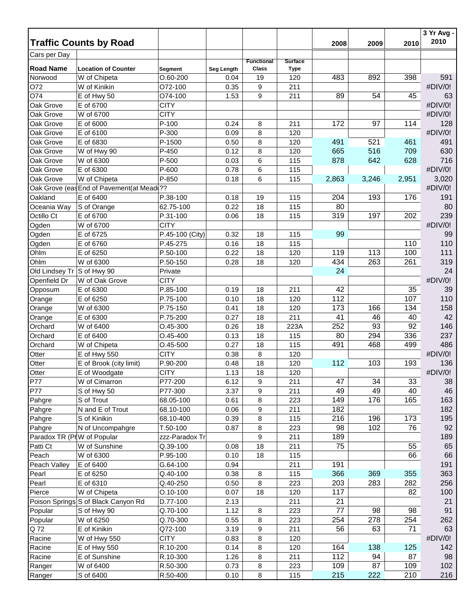|                            |                                           |                 |            |                                   |                               |       |       |       | 3 Yr Avg - |
|----------------------------|-------------------------------------------|-----------------|------------|-----------------------------------|-------------------------------|-------|-------|-------|------------|
|                            | <b>Traffic Counts by Road</b>             |                 |            |                                   |                               | 2008  | 2009  | 2010  | 2010       |
| Cars per Day               |                                           |                 |            |                                   |                               |       |       |       |            |
| <b>Road Name</b>           | <b>Location of Counter</b>                | Segment         | Seg Length | <b>Functional</b><br><b>Class</b> | <b>Surface</b><br><b>Type</b> |       |       |       |            |
| Norwood                    | W of Chipeta                              | $O.60 - 200$    | 0.04       | 19                                | 120                           | 483   | 892   | 398   | 591        |
| 072                        | W of Kinikin                              | O72-100         | 0.35       | 9                                 | 211                           |       |       |       | #DIV/0!    |
| O74                        | E of Hwy 50                               | O74-100         | 1.53       | 9                                 | 211                           | 89    | 54    | 45    | 63         |
| Oak Grove                  | E of 6700                                 | <b>CITY</b>     |            |                                   |                               |       |       |       | #DIV/0!    |
| Oak Grove                  | W of 6700                                 | <b>CITY</b>     |            |                                   |                               |       |       |       | #DIV/0!    |
| Oak Grove                  | E of 6000                                 | $P-100$         | 0.24       | 8                                 | 211                           | 172   | 97    | 114   | 128        |
| Oak Grove                  | E of 6100                                 | P-300           | 0.09       | 8                                 | 120                           |       |       |       | #DIV/0!    |
| Oak Grove                  | E of 6830                                 | P-1500          | 0.50       | 8                                 | 120                           | 491   | 521   | 461   | 491        |
| Oak Grove                  | W of Hwy 90                               | P-450           | 0.12       | 8                                 | 120                           | 665   | 516   | 709   | 630        |
| Oak Grove                  | W of 6300                                 | P-500           | 0.03       | 6                                 | 115                           | 878   | 642   | 628   | 716        |
| Oak Grove                  | E of 6300                                 | P-600           | 0.78       | 6                                 | 115                           |       |       |       | #DIV/0!    |
| Oak Grove                  | W of Chipeta                              | P-850           | 0.18       | 6                                 | 115                           | 2,863 | 3,246 | 2,951 | 3,020      |
|                            | Oak Grove (eas End of Pavement(at Mead ?? |                 |            |                                   |                               |       |       |       | #DIV/0!    |
| Oakland                    | E of 6400                                 | P.38-100        | 0.18       | 19                                | 115                           | 204   | 193   | 176   | 191        |
| Oceania Way                | S of Orange                               | 62.75-100       | 0.22       | 18                                | 115                           | 80    |       |       | 80         |
| Octillo Ct                 | E of 6700                                 | P.31-100        | 0.06       | 18                                | 115                           | 319   | 197   | 202   | 239        |
| Ogden                      | W of 6700                                 | <b>CITY</b>     |            |                                   |                               |       |       |       | #DIV/0!    |
| Ogden                      | E of 6725                                 | P.45-100 (City) | 0.32       | 18                                | 115                           | 99    |       |       | 99         |
| Ogden                      | E of 6760                                 | P.45-275        | 0.16       | 18                                | 115                           |       |       | 110   | 110        |
| Ohlm                       | E of 6250                                 | P.50-100        | 0.22       | 18                                | 120                           | 119   | 113   | 100   | 111        |
| Ohlm                       | W of 6300                                 | P.50-150        | 0.28       | 18                                | 120                           | 434   | 263   | 261   | 319        |
| Old Lindsey Tr S of Hwy 90 |                                           | Private         |            |                                   |                               | 24    |       |       | 24         |
| Openfield Dr               | W of Oak Grove                            | <b>CITY</b>     |            |                                   |                               |       |       |       | #DIV/0!    |
| Opposum                    | E of 6300                                 | P.85-100        | 0.19       | 18                                | 211                           | 42    |       | 35    | 39         |
| Orange                     | E of 6250                                 | P.75-100        | 0.10       | 18                                | 120                           | 112   |       | 107   | 110        |
| Orange                     | W of 6300                                 | P.75-150        | 0.41       | 18                                | 120                           | 173   | 166   | 134   | 158        |
| Orange                     | E of 6300                                 | P.75-200        | 0.27       | 18                                | 211                           | 41    | 46    | 40    | 42         |
| Orchard                    | W of 6400                                 | O.45-300        | 0.26       | 18                                | 223A                          | 252   | 93    | 92    | 146        |
| Orchard                    | E of 6400                                 | $O.45 - 400$    | 0.13       | 18                                | 115                           | 80    | 294   | 336   | 237        |
| Orchard                    | W of Chipeta                              | $O.45 - 500$    | 0.27       | 18                                | 115                           | 491   | 468   | 499   | 486        |
| Otter                      | E of Hwy 550                              | <b>CITY</b>     | 0.38       | 8                                 | 120                           |       |       |       | #DIV/0!    |
| Otter                      | E of Brook (city limit)                   | P.90-200        | 0.48       | 18                                | 120                           | 112   | 103   | 193   | 136        |
| Otter                      | E of Woodgate                             | <b>CITY</b>     | 1.13       | 18                                | 120                           |       |       |       | #DIV/0!    |
| P77                        | W of Cimarron                             | P77-200         | 6.12       | 9                                 | 211                           | 47    | 34    | 33    | 38         |
| P77                        | S of Hwy 50                               | P77-300         | 3.37       | 9                                 | 211                           | 49    | 49    | 40    | 46         |
| Pahgre                     | S of Trout                                | 68.05-100       | 0.61       | 8                                 | 223                           | 149   | 176   | 165   | 163        |
| Pahgre                     | N and E of Trout                          | 68.10-100       | 0.06       | 9                                 | 211                           | 182   |       |       | 182        |
| Pahgre                     | S of Kinikin                              | 68.10-400       | 0.39       | 8                                 | 115                           | 216   | 196   | 173   | 195        |
| Pahgre                     | N of Uncompahgre                          | $T.50-100$      | 0.87       | 8                                 | 223                           | 98    | 102   | 76    | 92         |
| Paradox TR (P(W of Popular |                                           | zzz-Paradox Tr  |            | 9                                 | 211                           | 189   |       |       | 189        |
| Patti Ct                   | W of Sunshine                             | Q.39-100        | 0.08       | 18                                | 211                           | 75    |       | 55    | 65         |
| Peach                      | W of 6300                                 | P.95-100        | 0.10       | 18                                | 115                           |       |       | 66    | 66         |
| Peach Valley               | E of 6400                                 | G.64-100        | 0.94       |                                   | 211                           | 191   |       |       | 191        |
| Pearl                      | E of 6250                                 | Q.40-100        | 0.38       | 8                                 | 115                           | 366   | 369   | 355   | 363        |
| Pearl                      | E of 6310                                 | Q.40-250        | 0.50       | 8                                 | 223                           | 203   | 283   | 282   | 256        |
| Pierce                     | W of Chipeta                              | $O.10 - 100$    | 0.07       | 18                                | 120                           | 117   |       | 82    | 100        |
|                            | Poison Springs S of Black Canyon Rd       | D.77-100        | 2.13       |                                   | 211                           | 21    |       |       | 21         |
| Popular                    | S of Hwy 90                               | Q.70-100        | 1.12       | 8                                 | 223                           | 77    | 98    | 98    | 91         |
| Popular                    | W of 6250                                 | Q.70-300        | 0.55       | 8                                 | 223                           | 254   | 278   | 254   | 262        |
| Q 72                       | E of Kinikin                              | Q72-100         | 3.19       | 9                                 | 211                           | 56    | 63    | 71    | 63         |
| Racine                     | W of Hwy 550                              | <b>CITY</b>     | 0.83       | 8                                 | 120                           |       |       |       | #DIV/0!    |
| Racine                     | E of Hwy 550                              | R.10-200        | 0.14       | 8                                 | 120                           | 164   | 138   | 125   | 142        |
| Racine                     | E of Sunshine                             | R.10-300        | 1.26       | 8                                 | 211                           | 112   | 94    | 87    | 98         |
| Ranger                     | W of 6400                                 | R.50-300        | 0.73       | 8                                 | 223                           | 109   | 87    | 109   | 102        |
| Ranger                     | S of 6400                                 | R.50-400        | 0.10       | 8                                 | 115                           | 215   | 222   | 210   | 216        |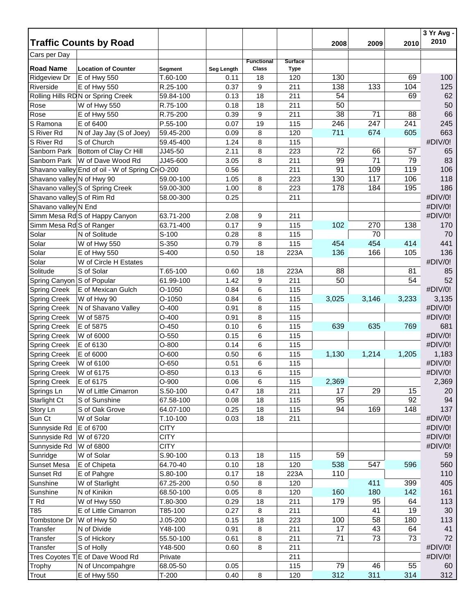|                                                    | <b>Traffic Counts by Road</b>                    |                        |            |                            |                               |                 |       |       | 3 Yr Avg -<br>2010 |
|----------------------------------------------------|--------------------------------------------------|------------------------|------------|----------------------------|-------------------------------|-----------------|-------|-------|--------------------|
| Cars per Day                                       |                                                  |                        |            |                            |                               | 2008            | 2009  | 2010  |                    |
| <b>Road Name</b>                                   | <b>Location of Counter</b>                       | Segment                | Seg Length | <b>Functional</b><br>Class | <b>Surface</b><br><b>Type</b> |                 |       |       |                    |
| <b>Ridgeview Dr</b>                                | E of Hwy 550                                     | T.60-100               | 0.11       | 18                         | 120                           | 130             |       | 69    | 100                |
| Riverside                                          | E of Hwy 550                                     | R.25-100               | 0.37       | 9                          | 211                           | 138             | 133   | 104   | 125                |
|                                                    | Rolling Hills RDN or Spring Creek                | 59.84-100              | 0.13       | 18                         | 211                           | 54              |       | 69    | 62                 |
| Rose                                               | W of Hwy 550                                     | R.75-100               | 0.18       | 18                         | 211                           | 50              |       |       | 50                 |
| Rose                                               | E of Hwy 550                                     | R.75-200               | 0.39       | 9                          | 211                           | 38              | 71    | 88    | 66                 |
| S Ramona                                           | E of 6400                                        | P.55-100               | 0.07       | 19                         | 115                           | 246             | 247   | 241   | 245                |
| S River Rd                                         | N of Jay Jay (S of Joey)                         | 59.45-200              | 0.09       | 8                          | 120                           | 711             | 674   | 605   | 663                |
| S River Rd                                         | S of Church                                      | 59.45-400              | 1.24       | 8                          | 115                           |                 |       |       | #DIV/0!            |
| Sanborn Park                                       | Bottom of Clay Cr Hill                           | JJ45-50                | 2.11       | 8                          | 223                           | 72              | 66    | 57    | 65                 |
| Sanborn Park                                       | W of Dave Wood Rd                                | JJ45-600               | 3.05       | 8                          | 211                           | 99              | 71    | 79    | 83                 |
|                                                    |                                                  |                        |            |                            |                               | 91              | 109   | 119   | 106                |
|                                                    | Shavano valley End of oil - W of Spring Cr O-200 |                        | 0.56       |                            | 211                           | 130             | 117   | 106   | 118                |
| Shavano valley N of Hwy 90                         | Shavano valley S of Spring Creek                 | 59.00-100<br>59.00-300 | 1.05       | 8                          | 223                           | 178             | 184   | 195   | 186                |
|                                                    |                                                  |                        | 1.00       | 8                          | 223                           |                 |       |       | #DIV/0!            |
| Shavano valley S of Rim Rd<br>Shavano valley N End |                                                  | 58.00-300              | 0.25       |                            | 211                           |                 |       |       |                    |
|                                                    |                                                  |                        |            |                            |                               |                 |       |       | #DIV/0!            |
|                                                    | Simm Mesa Rd S of Happy Canyon                   | 63.71-200              | 2.08       | 9                          | 211                           |                 |       |       | #DIV/0!            |
| Simm Mesa Rd S of Ranger                           |                                                  | 63.71-400              | 0.17       | 9                          | 115                           | 102             | 270   | 138   | 170                |
| Solar                                              | N of Solitude                                    | S-100                  | 0.28       | 8                          | 115                           |                 | 70    |       | 70                 |
| Solar                                              | W of Hwy 550                                     | S-350                  | 0.79       | 8                          | 115                           | 454             | 454   | 414   | 441                |
| Solar                                              | E of Hwy 550                                     | S-400                  | 0.50       | 18                         | 223A                          | 136             | 166   | 105   | 136                |
| Solar                                              | W of Circle H Estates                            |                        |            |                            |                               |                 |       |       | #DIV/0!            |
| Solitude                                           | S of Solar                                       | T.65-100               | 0.60       | 18                         | 223A                          | 88              |       | 81    | 85                 |
| Spring Canyon S of Popular                         |                                                  | 61.99-100              | 1.42       | 9                          | 211                           | 50              |       | 54    | 52                 |
| <b>Spring Creek</b>                                | E of Mexican Gulch                               | $O-1050$               | 0.84       | 6                          | 115                           |                 |       |       | #DIV/0!            |
| Spring Creek                                       | W of Hwy 90                                      | $O-1050$               | 0.84       | 6                          | 115                           | 3,025           | 3,146 | 3,233 | 3,135              |
| <b>Spring Creek</b>                                | N of Shavano Valley                              | $O-400$                | 0.91       | 8                          | 115                           |                 |       |       | #DIV/0!            |
| <b>Spring Creek</b>                                | W of 5875                                        | $O-400$                | 0.91       | 8                          | 115                           |                 |       |       | #DIV/0!            |
| <b>Spring Creek</b>                                | E of 5875                                        | $O-450$                | 0.10       | 6                          | 115                           | 639             | 635   | 769   | 681                |
| <b>Spring Creek</b>                                | W of 6000                                        | $O-550$                | 0.15       | 6                          | 115                           |                 |       |       | #DIV/0!            |
| <b>Spring Creek</b>                                | E of 6130                                        | $O-800$                | 0.14       | 6                          | 115                           |                 |       |       | #DIV/0!            |
| <b>Spring Creek</b>                                | E of 6000                                        | $O-600$                | 0.50       | 6                          | 115                           | 1,130           | 1,214 | 1,205 | 1,183              |
| <b>Spring Creek</b>                                | W of 6100                                        | $O-650$                | 0.51       | 6                          | 115                           |                 |       |       | #DIV/0!            |
| <b>Spring Creek</b>                                | W of 6175                                        | O-850                  | 0.13       | 6                          | 115                           |                 |       |       | #DIV/0!            |
| <b>Spring Creek</b>                                | E of 6175                                        | O-900                  | 0.06       | 6                          | 115                           | 2,369           |       |       | 2,369              |
| Springs Ln                                         | W of Little Cimarron                             | S.50-100               | 0.47       | 18                         | 211                           | 17              | 29    | 15    | 20                 |
| <b>Starlight Ct</b>                                | S of Sunshine                                    | 67.58-100              | 0.08       | 18                         | 115                           | 95              |       | 92    | 94                 |
| Story Ln                                           | S of Oak Grove                                   | 64.07-100              | 0.25       | 18                         | 115                           | 94              | 169   | 148   | 137                |
| Sun Ct                                             | W of Solar                                       | $T.10-100$             | 0.03       | 18                         | 211                           |                 |       |       | #DIV/0!            |
| Sunnyside Rd                                       | E of 6700                                        | <b>CITY</b>            |            |                            |                               |                 |       |       | #DIV/0!            |
| Sunnyside Rd                                       | W of 6720                                        | <b>CITY</b>            |            |                            |                               |                 |       |       | #DIV/0!            |
| Sunnyside Rd                                       | W of 6800                                        | <b>CITY</b>            |            |                            |                               |                 |       |       | #DIV/0!            |
| Sunridge                                           | W of Solar                                       | S.90-100               | 0.13       | 18                         | 115                           | 59              |       |       | 59                 |
| Sunset Mesa                                        | E of Chipeta                                     | 64.70-40               | 0.10       | 18                         | 120                           | 538             | 547   | 596   | 560                |
| Sunset Rd                                          | E of Pahgre                                      | S.80-100               | 0.17       | 18                         | 223A                          | 110             |       |       | 110                |
| Sunshine                                           | W of Starlight                                   | 67.25-200              | 0.50       | 8                          | 120                           |                 | 411   | 399   | 405                |
| Sunshine                                           | N of Kinikin                                     | 68.50-100              | 0.05       | 8                          | 120                           | 160             | 180   | 142   | 161                |
| T Rd                                               | W of Hwy 550                                     | T.80-300               | 0.29       | 18                         | 211                           | 179             | 95    | 64    | 113                |
| T85                                                | E of Little Cimarron                             | T85-100                | 0.27       | 8                          | 211                           |                 | 41    | 19    | $30\,$             |
| Tombstone Dr                                       | W of Hwy 50                                      | $J.05 - 200$           | 0.15       | 18                         | 223                           | 100             | 58    | 180   | 113                |
| Transfer                                           | N of Divide                                      | Y48-100                | 0.91       | 8                          | 211                           | 17              | 43    | 64    | 41                 |
| Transfer                                           | S of Hickory                                     | 55.50-100              | 0.61       | 8                          | 211                           | 71              | 73    | 73    | 72                 |
| Transfer                                           | S of Holly                                       | Y48-500                | 0.60       | 8                          | 211                           |                 |       |       | #DIV/0!            |
|                                                    | Tres Coyotes T E of Dave Wood Rd                 | Private                |            |                            | 211                           |                 |       |       | #DIV/0!            |
| Trophy                                             | N of Uncompahgre                                 | 68.05-50               | 0.05       |                            | 115                           | $\overline{79}$ | 46    | 55    | 60                 |
| Trout                                              | E of Hwy 550                                     | $T-200$                | 0.40       | $\,8\,$                    | 120                           | 312             | 311   | 314   | 312                |
|                                                    |                                                  |                        |            |                            |                               |                 |       |       |                    |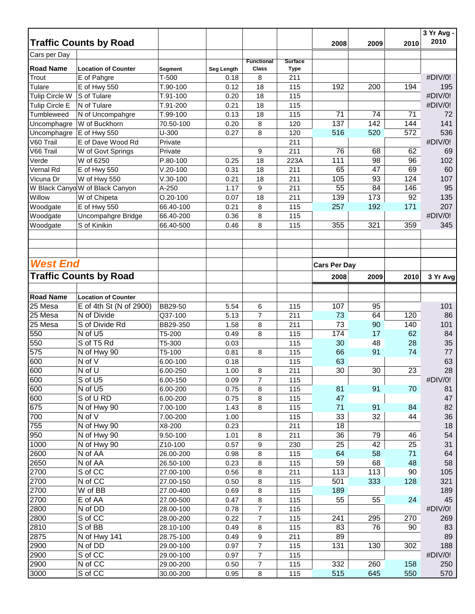|                  | <b>Traffic Counts by Road</b>   |                |            |                                   |                               | 2008                | 2009 | 2010 | 3 Yr Avg -<br>2010 |
|------------------|---------------------------------|----------------|------------|-----------------------------------|-------------------------------|---------------------|------|------|--------------------|
| Cars per Day     |                                 |                |            |                                   |                               |                     |      |      |                    |
| <b>Road Name</b> | <b>Location of Counter</b>      | <b>Segment</b> | Seg Length | <b>Functional</b><br><b>Class</b> | <b>Surface</b><br><b>Type</b> |                     |      |      |                    |
| Trout            | E of Pahgre                     | $T-500$        | 0.18       | 8                                 | 211                           |                     |      |      | #DIV/0!            |
| Tulare           | E of Hwy 550                    | T.90-100       | 0.12       | 18                                | 115                           | 192                 | 200  | 194  | 195                |
| Tulip Circle W   | S of Tulare                     | T.91-100       | 0.20       | 18                                | 115                           |                     |      |      | #DIV/0!            |
| Tulip Circle E   | N of Tulare                     | T.91-200       | 0.21       | 18                                | 115                           |                     |      |      | #DIV/0!            |
| Tumbleweed       | N of Uncompahgre                | T.99-100       | 0.13       | 18                                | 115                           | 71                  | 74   | 71   | 72                 |
| Uncomphagre      | W of Buckhorn                   | 70.50-100      | 0.20       | 8                                 | 120                           | 137                 | 142  | 144  | 141                |
| Uncomphagre      | E of Hwy 550                    | $U-300$        | 0.27       | 8                                 | 120                           | 516                 | 520  | 572  | 536                |
| V60 Trail        | E of Dave Wood Rd               | Private        |            |                                   | 211                           |                     |      |      | #DIV/0!            |
| V66 Trail        | W of Govt Springs               | Private        |            | 9                                 | 211                           | 76                  | 68   | 62   | 69                 |
| Verde            | W of 6250                       | $P.80-100$     | 0.25       | 18                                | 223A                          | 111                 | 98   | 96   | 102                |
| Vernal Rd        | E of Hwy 550                    | $V.20-100$     | 0.31       | 18                                | 211                           | 65                  | 47   | 69   | 60                 |
| Vicuna Dr        | W of Hwy 550                    | $V.30-100$     | 0.21       | 18                                | 211                           | 105                 | 93   | 124  | 107                |
|                  | W Black Canyo W of Black Canyon | A-250          | 1.17       | 9                                 | 211                           | 55                  | 84   | 146  | 95                 |
| Willow           | W of Chipeta                    | $O.20 - 100$   | 0.07       | 18                                | 211                           | 139                 | 173  | 92   | 135                |
| Woodgate         | E of Hwy 550                    | 66.40-100      | 0.21       | 8                                 | 115                           | 257                 | 192  | 171  | 207                |
| Woodgate         | Uncompahgre Bridge              | 66.40-200      | 0.36       | 8                                 | 115                           |                     |      |      | #DIV/0!            |
|                  | S of Kinikin                    |                |            | 8                                 |                               | 355                 | 321  |      | 345                |
| Woodgate         |                                 | 66.40-500      | 0.46       |                                   | 115                           |                     |      | 359  |                    |
|                  |                                 |                |            |                                   |                               |                     |      |      |                    |
| <b>West End</b>  |                                 |                |            |                                   |                               | <b>Cars Per Day</b> |      |      |                    |
|                  | <b>Traffic Counts by Road</b>   |                |            |                                   |                               | 2008                | 2009 | 2010 | 3 Yr Avg           |
| <b>Road Name</b> | <b>Location of Counter</b>      |                |            |                                   |                               |                     |      |      |                    |
| 25 Mesa          | E of 4th St (N of 2900)         | <b>BB29-50</b> | 5.54       | 6                                 | 115                           | 107                 | 95   |      | 101                |
| $25$ Mesa        | N of Divide                     | Q37-100        | 5.13       | $\overline{7}$                    | 211                           | 73                  | 64   | 120  | 86                 |
| 25 Mesa          | S of Divide Rd                  | BB29-350       | 1.58       | 8                                 | 211                           | 73                  | 90   | 140  | 101                |
| 550              | N of U5                         | T5-200         | 0.49       | 8                                 | 115                           | 174                 | 17   | 62   | 84                 |
| 550              | S of T5 Rd                      | T5-300         | 0.03       |                                   | 115                           | 30                  | 48   | 28   | 35                 |
| 575              | N of Hwy 90                     | T5-100         |            | 8                                 | 115                           | 66                  | 91   | 74   | 77                 |
| 600              | N of V                          |                | 0.81       |                                   |                               | 63                  |      |      | 63                 |
|                  |                                 | 6.00-100       | 0.18       |                                   | 115                           |                     |      |      |                    |
| 600              | N of U                          | 6.00-250       | 1.00       | 8                                 | 211                           | 30                  | 30   | 23   | 28                 |
| 600              | S of U5                         | 6.00-150       | 0.09       | $\overline{7}$                    | 115                           |                     |      |      | #DIV/0!            |
| 600              | N of U5                         | 6.00-200       | 0.75       | 8                                 | 115                           | 81                  | 91   | 70   | 81                 |
| 600              | S of U RD                       | 6.00-200       | 0.75       | 8                                 | 115                           | 47                  |      |      | 47                 |
| 675              | N of Hwy 90                     | 7.00-100       | 1.43       | 8                                 | 115                           | 71                  | 91   | 84   | 82                 |
| 700              | N of $\overline{V}$             | 7.00-200       | 1.00       |                                   | 115                           | 33                  | 32   | 44   | 36                 |
| 755              | N of Hwy 90                     | X8-200         | 0.23       |                                   | 211                           | 18                  |      |      | 18                 |
| 950              | N of Hwy 90                     | 9.50-100       | 1.01       | 8                                 | 211                           | 36                  | 79   | 46   | 54                 |
| 1000             | N of Hwy 90                     | Z10-100        | 0.57       | 9                                 | 230                           | 25                  | 42   | 25   | 31                 |
| 2600             | N of AA                         | 26.00-200      | 0.98       | 8                                 | 115                           | 64                  | 58   | 71   | 64                 |
| 2650             | N of AA                         | 26.50-100      | 0.23       | 8                                 | 115                           | 59                  | 68   | 48   | 58                 |
| 2700             | S of CC                         | 27.00-100      | 0.56       | 8                                 | 211                           | 113                 | 113  | 90   | 105                |
| 2700             | N of CC                         | 27.00-150      | 0.50       | 8                                 | 115                           | 501                 | 333  | 128  | 321                |
| 2700             | W of BB                         | 27.00-400      | 0.69       | 8                                 | 115                           | 189                 |      |      | 189                |
| 2700             | E of AA                         | 27.00-500      | 0.47       | 8                                 | 115                           | 55                  | 55   | 24   | 45                 |
| 2800             | N of DD                         | 28.00-100      | 0.78       | $\overline{7}$                    | 115                           |                     |      |      | #DIV/0!            |
| 2800             | S of CC                         | 28.00-200      | 0.22       | $\overline{7}$                    | 115                           | 241                 | 295  | 270  | 269                |
| 2810             | S of BB                         | 28.10-100      | 0.49       | 8                                 | 115                           | 83                  | 76   | 90   | 83                 |
| 2875             | N of Hwy 141                    | 28.75-100      | 0.49       | 9                                 | 211                           | 89                  |      |      | 89                 |
| 2900             | N of DD                         | 29.00-100      | 0.97       | 7                                 | 115                           | 131                 | 130  | 302  | 188                |
| 2900             | S of CC                         | 29.00-100      | 0.97       | 7                                 | 115                           |                     |      |      | #DIV/0!            |
| 2900             | N of CC                         | 29.00-200      | 0.50       | $\boldsymbol{7}$                  | 115                           | 332                 | 260  | 158  | 250                |
| 3000             | S of CC                         | 30.00-200      | 0.95       | 8                                 | 115                           | 515                 | 645  | 550  | 570                |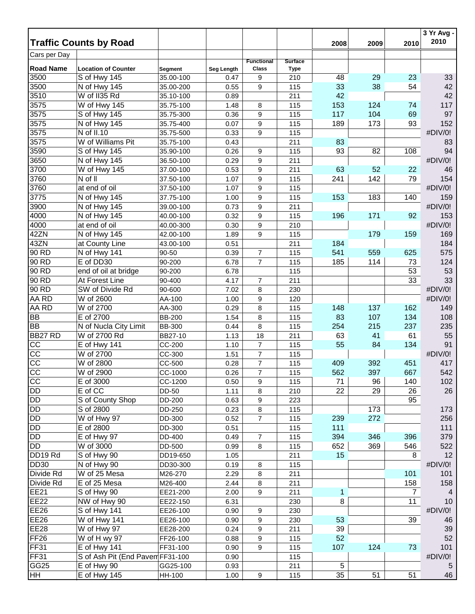|                                    |                                  |               |            |                   |                |      |      |                | 3 Yr Avg -     |
|------------------------------------|----------------------------------|---------------|------------|-------------------|----------------|------|------|----------------|----------------|
| <b>Traffic Counts by Road</b>      |                                  |               |            |                   |                | 2008 | 2009 | 2010           | 2010           |
| Cars per Day                       |                                  |               |            | <b>Functional</b> | <b>Surface</b> |      |      |                |                |
| <b>Road Name</b>                   | <b>Location of Counter</b>       | Segment       | Seg Length | Class             | <b>Type</b>    |      |      |                |                |
| 3500                               | S of Hwy 145                     | 35.00-100     | 0.47       | 9                 | 210            | 48   | 29   | 23             | 33             |
| 3500                               | N of Hwy 145                     | 35.00-200     | 0.55       | 9                 | 115            | 33   | 38   | 54             | 42             |
| 3510                               | W of II35 Rd                     | 35.10-100     | 0.89       |                   | 211            | 42   |      |                | 42             |
| 3575                               | W of Hwy 145                     | 35.75-100     | 1.48       | 8                 | 115            | 153  | 124  | 74             | 117            |
| 3575                               | S of Hwy 145                     | 35.75-300     | 0.36       | 9                 | 115            | 117  | 104  | 69             | 97             |
| 3575                               | N of Hwy 145                     | 35.75-400     | 0.07       | 9                 | 115            | 189  | 173  | 93             | 152            |
| 3575                               | N of II.10                       | 35.75-500     | 0.33       | 9                 | 115            |      |      |                | #DIV/0!        |
| 3575                               | W of Williams Pit                | 35.75-100     | 0.43       |                   | 211            | 83   |      |                | 83             |
| 3590                               | S of Hwy 145                     | 35.90-100     | 0.26       | 9                 | 115            | 93   | 82   | 108            | 94             |
| 3650                               | N of Hwy 145                     | 36.50-100     | 0.29       | 9                 | 211            |      |      |                | #DIV/0!        |
| 3700                               | W of Hwy 145                     | 37.00-100     | 0.53       | 9                 | 211            | 63   | 52   | 22             | 46             |
| 3760                               | N of II                          | 37.50-100     | 1.07       | $\boldsymbol{9}$  | 115            | 241  | 142  | 79             | 154            |
| 3760                               | at end of oil                    | 37.50-100     | 1.07       | 9                 | 115            |      |      |                | #DIV/0!        |
| 3775                               | N of Hwy 145                     | 37.75-100     | 1.00       | 9                 | 115            | 153  | 183  | 140            | 159            |
| 3900                               | N of Hwy 145                     | 39.00-100     | 0.73       | 9                 | 211            |      |      |                | #DIV/0!        |
| 4000                               | N of Hwy 145                     | 40.00-100     | 0.32       | 9                 | 115            | 196  | 171  | 92             | 153            |
| 4000                               | at end of oil                    | 40.00-300     | 0.30       | 9                 | 210            |      |      |                | #DIV/0!        |
| 42ZN                               | N of Hwy 145                     | 42.00-100     | 1.89       | 9                 | 115            |      | 179  | 159            | 169            |
| 43ZN                               | at County Line                   | 43.00-100     | 0.51       |                   | 211            | 184  |      |                | 184            |
| 90 RD                              | N of Hwy 141                     | 90-50         | 0.39       | $\overline{7}$    | 115            | 541  | 559  | 625            | 575            |
| 90 RD                              | E of DD30                        | 90-200        | 6.78       | $\overline{7}$    | 115            | 185  | 114  | 73             | 124            |
| 90 RD                              | end of oil at bridge             | 90-200        | 6.78       |                   | 115            |      |      | 53             | 53             |
| 90 RD                              | At Forest Line                   | 90-400        | 4.17       | $\overline{7}$    | 211            |      |      | 33             | 33             |
| 90 RD                              | SW of Divide Rd                  | 90-600        | 7.02       | 8                 | 230            |      |      |                | #DIV/0!        |
| AA RD                              | W of 2600                        | AA-100        | 1.00       | 9                 | 120            |      |      |                | #DIV/0!        |
| AA RD                              | W of 2700                        | AA-300        | 0.29       | 8                 | 115            | 148  | 137  | 162            | 149            |
|                                    | E of 2700                        |               |            |                   |                | 83   | 107  | 134            |                |
| <b>BB</b><br><b>BB</b>             | N of Nucla City Limit            | <b>BB-200</b> | 1.54       | 8<br>8            | 115            | 254  | 215  | 237            | 108<br>235     |
| BB27 RD                            | W of 2700 Rd                     | <b>BB-300</b> | 0.44       | 18                | 115            | 63   | 41   | 61             | 55             |
|                                    |                                  | BB27-10       | 1.13       |                   | 211            |      |      |                |                |
| CC                                 | E of Hwy 141                     | CC-200        | 1.10       | $\overline{7}$    | 115            | 55   | 84   | 134            | 91             |
| $\overline{cc}$                    | W of 2700                        | CC-300        | 1.51       | $\overline{7}$    | 115            |      |      |                | #DIV/0!        |
| $\overline{cc}$<br>$\overline{cc}$ | W of 2800                        | CC-500        | 0.28       | $\overline{7}$    | 115            | 409  | 392  | 451            | 417            |
|                                    | W of 2900                        | CC-1000       | 0.26       | $\overline{7}$    | 115            | 562  | 397  | 667            | 542            |
| $\overline{C}$                     | E of 3000                        | CC-1200       | 0.50       | 9                 | 115            | 71   | 96   | 140            | 102            |
| <b>DD</b>                          | E of CC                          | DD-50         | 1.11       | 8                 | 210            | 22   | 29   | 26             | 26             |
| <b>DD</b>                          | S of County Shop                 | DD-200        | 0.63       | $\boldsymbol{9}$  | 223            |      |      | 95             |                |
| <b>DD</b>                          | S of 2800                        | DD-250        | 0.23       | 8                 | 115            |      | 173  |                | 173            |
| <b>DD</b>                          | W of Hwy 97                      | DD-300        | 0.52       | $\overline{7}$    | 115            | 239  | 272  |                | 256            |
| <b>DD</b>                          | E of 2800                        | DD-300        | 0.51       |                   | 115            | 111  |      |                | 111            |
| <b>DD</b>                          | E of Hwy 97                      | DD-400        | 0.49       | $\boldsymbol{7}$  | 115            | 394  | 346  | 396            | 379            |
| <b>DD</b>                          | W of 3000                        | DD-500        | 0.99       | 8                 | 115            | 652  | 369  | 546            | 522            |
| DD19 Rd                            | S of Hwy 90                      | DD19-650      | 1.05       |                   | 211            | 15   |      | 8              | 12             |
| <b>DD30</b>                        | N of Hwy 90                      | DD30-300      | 0.19       | 8                 | 115            |      |      |                | #DIV/0!        |
| Divide Rd                          | W of 25 Mesa                     | M26-270       | 2.29       | 8                 | 211            |      |      | 101            | 101            |
| Divide Rd                          | E of 25 Mesa                     | M26-400       | 2.44       | 8                 | 211            |      |      | 158            | 158            |
| <b>EE21</b>                        | S of Hwy 90                      | EE21-200      | 2.00       | 9                 | 211            | 1    |      | $\overline{7}$ | $\overline{4}$ |
| <b>EE22</b>                        | NW of Hwy 90                     | EE22-150      | 6.31       |                   | 230            | 8    |      | 11             | 10             |
| <b>EE26</b>                        | S of Hwy 141                     | EE26-100      | 0.90       | 9                 | 230            |      |      |                | #DIV/0!        |
| <b>EE26</b>                        | W of Hwy 141                     | EE26-100      | 0.90       | 9                 | 230            | 53   |      | 39             | 46             |
| <b>EE28</b>                        | $\overline{W}$ of Hwy 97         | EE28-200      | 0.24       | 9                 | 211            | 39   |      |                | 39             |
| FF <sub>26</sub>                   | W of H wy 97                     | FF26-100      | 0.88       | 9                 | 115            | 52   |      |                | 52             |
| FF31                               | E of Hwy 141                     | FF31-100      | 0.90       | 9                 | 115            | 107  | 124  | 73             | 101            |
| FF31                               | S of Ash Pit (End Pavem FF31-100 |               | 0.90       |                   | 115            |      |      |                | #DIV/0!        |
| GG <sub>25</sub>                   | E of Hwy 90                      | GG25-100      | 0.93       |                   | 211            | 5    |      |                | 5              |
| HH                                 | E of Hwy 145                     | HH-100        | 1.00       | 9                 | 115            | 35   | 51   | 51             | 46             |